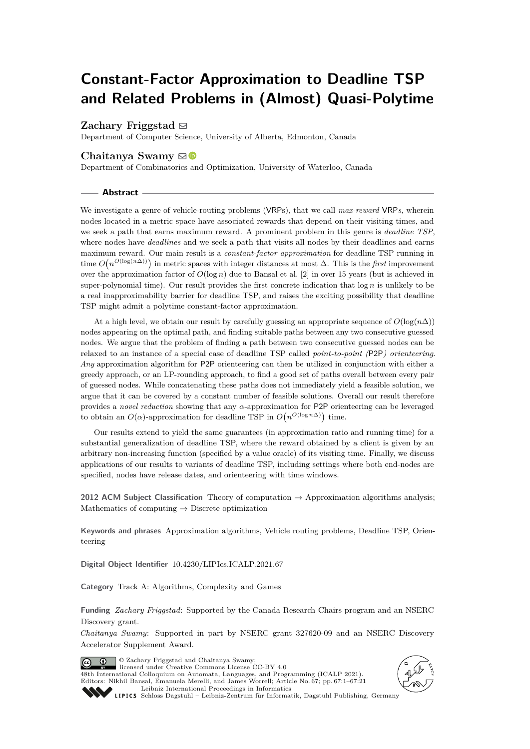# **Constant-Factor Approximation to Deadline TSP and Related Problems in (Almost) Quasi-Polytime**

## Zachary Friggstad  $\boxdot$

Department of Computer Science, University of Alberta, Edmonton, Canada

## Chaitanya Swamy ⊠<sup>®</sup>

Department of Combinatorics and Optimization, University of Waterloo, Canada

## **Abstract**

We investigate a genre of vehicle-routing problems (VRPs), that we call *max-reward* VRP*s*, wherein nodes located in a metric space have associated rewards that depend on their visiting times, and we seek a path that earns maximum reward. A prominent problem in this genre is *deadline TSP*, where nodes have *deadlines* and we seek a path that visits all nodes by their deadlines and earns maximum reward. Our main result is a *constant-factor approximation* for deadline TSP running in time  $O(n^{\Omega(\log(n\Delta))})$  in metric spaces with integer distances at most  $\Delta$ . This is the *first* improvement over the approximation factor of  $O(\log n)$  due to Bansal et al. [\[2\]](#page-19-0) in over 15 years (but is achieved in super-polynomial time). Our result provides the first concrete indication that log *n* is unlikely to be a real inapproximability barrier for deadline TSP, and raises the exciting possibility that deadline TSP might admit a polytime constant-factor approximation.

At a high level, we obtain our result by carefully guessing an appropriate sequence of  $O(\log(n\Delta))$ nodes appearing on the optimal path, and finding suitable paths between any two consecutive guessed nodes. We argue that the problem of finding a path between two consecutive guessed nodes can be relaxed to an instance of a special case of deadline TSP called *point-to-point (*P2P*) orienteering*. *Any* approximation algorithm for P2P orienteering can then be utilized in conjunction with either a greedy approach, or an LP-rounding approach, to find a good set of paths overall between every pair of guessed nodes. While concatenating these paths does not immediately yield a feasible solution, we argue that it can be covered by a constant number of feasible solutions. Overall our result therefore provides a *novel reduction* showing that any *α*-approximation for P2P orienteering can be leveraged to obtain an  $O(\alpha)$ -approximation for deadline TSP in  $O(n^{O(\log n\Delta)})$  time.

Our results extend to yield the same guarantees (in approximation ratio and running time) for a substantial generalization of deadline TSP, where the reward obtained by a client is given by an arbitrary non-increasing function (specified by a value oracle) of its visiting time. Finally, we discuss applications of our results to variants of deadline TSP, including settings where both end-nodes are specified, nodes have release dates, and orienteering with time windows.

**2012 ACM Subject Classification** Theory of computation → Approximation algorithms analysis; Mathematics of computing  $\rightarrow$  Discrete optimization

**Keywords and phrases** Approximation algorithms, Vehicle routing problems, Deadline TSP, Orienteering

**Digital Object Identifier** [10.4230/LIPIcs.ICALP.2021.67](https://doi.org/10.4230/LIPIcs.ICALP.2021.67)

**Category** Track A: Algorithms, Complexity and Games

**Funding** *Zachary Friggstad*: Supported by the Canada Research Chairs program and an NSERC Discovery grant.

*Chaitanya Swamy*: Supported in part by NSERC grant 327620-09 and an NSERC Discovery Accelerator Supplement Award.

© Zachary Friggstad and Chaitanya Swamy;  $\boxed{6}$  0 licensed under Creative Commons License CC-BY 4.0 48th International Colloquium on Automata, Languages, and Programming (ICALP 2021). Editors: Nikhil Bansal, Emanuela Merelli, and James Worrell; Article No. 67; pp. 67:1–67:21 [Leibniz International Proceedings in Informatics](https://www.dagstuhl.de/lipics/)



SCHLOSS Dagstuhl – Leibniz-Zentrum für Informatik, Dagstuhl Publishing, Germany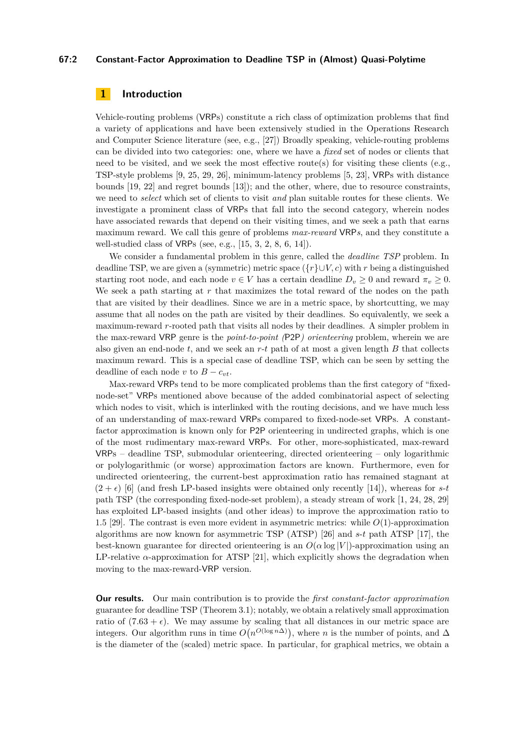## **67:2 Constant-Factor Approximation to Deadline TSP in (Almost) Quasi-Polytime**

# **1 Introduction**

Vehicle-routing problems (VRPs) constitute a rich class of optimization problems that find a variety of applications and have been extensively studied in the Operations Research and Computer Science literature (see, e.g., [\[27\]](#page-20-0)) Broadly speaking, vehicle-routing problems can be divided into two categories: one, where we have a *fixed* set of nodes or clients that need to be visited, and we seek the most effective route(s) for visiting these clients (e.g., TSP-style problems [\[9,](#page-19-1) [25,](#page-20-1) [29,](#page-20-2) [26\]](#page-20-3), minimum-latency problems [\[5,](#page-19-2) [23\]](#page-20-4), VRPs with distance bounds [\[19,](#page-19-3) [22\]](#page-20-5) and regret bounds [\[13\]](#page-19-4)); and the other, where, due to resource constraints, we need to *select* which set of clients to visit *and* plan suitable routes for these clients. We investigate a prominent class of VRPs that fall into the second category, wherein nodes have associated rewards that depend on their visiting times, and we seek a path that earns maximum reward. We call this genre of problems *max-reward* VRP*s*, and they constitute a well-studied class of VRPs (see, e.g., [\[15,](#page-19-5) [3,](#page-19-6) [2,](#page-19-0) [8,](#page-19-7) [6,](#page-19-8) [14\]](#page-19-9)).

We consider a fundamental problem in this genre, called the *deadline TSP* problem. In deadline TSP, we are given a (symmetric) metric space ({*r*}∪*V, c*) with *r* being a distinguished starting root node, and each node  $v \in V$  has a certain deadline  $D_v \geq 0$  and reward  $\pi_v \geq 0$ . We seek a path starting at *r* that maximizes the total reward of the nodes on the path that are visited by their deadlines. Since we are in a metric space, by shortcutting, we may assume that all nodes on the path are visited by their deadlines. So equivalently, we seek a maximum-reward *r*-rooted path that visits all nodes by their deadlines. A simpler problem in the max-reward VRP genre is the *point-to-point (*P2P*) orienteering* problem, wherein we are also given an end-node *t*, and we seek an *r*-*t* path of at most a given length *B* that collects maximum reward. This is a special case of deadline TSP, which can be seen by setting the deadline of each node *v* to  $B - c_{vt}$ .

Max-reward VRPs tend to be more complicated problems than the first category of "fixednode-set" VRPs mentioned above because of the added combinatorial aspect of selecting which nodes to visit, which is interlinked with the routing decisions, and we have much less of an understanding of max-reward VRPs compared to fixed-node-set VRPs. A constantfactor approximation is known only for P2P orienteering in undirected graphs, which is one of the most rudimentary max-reward VRPs. For other, more-sophisticated, max-reward VRPs – deadline TSP, submodular orienteering, directed orienteering – only logarithmic or polylogarithmic (or worse) approximation factors are known. Furthermore, even for undirected orienteering, the current-best approximation ratio has remained stagnant at  $(2 + \epsilon)$  [\[6\]](#page-19-8) (and fresh LP-based insights were obtained only recently [\[14\]](#page-19-9)), whereas for *s*-*t* path TSP (the corresponding fixed-node-set problem), a steady stream of work [\[1,](#page-19-10) [24,](#page-20-6) [28,](#page-20-7) [29\]](#page-20-2) has exploited LP-based insights (and other ideas) to improve the approximation ratio to 1*.*5 [\[29\]](#page-20-2). The contrast is even more evident in asymmetric metrics: while *O*(1)-approximation algorithms are now known for asymmetric TSP (ATSP) [\[26\]](#page-20-3) and *s*-*t* path ATSP [\[17\]](#page-19-11), the best-known guarantee for directed orienteering is an  $O(\alpha \log |V|)$ -approximation using an LP-relative  $\alpha$ -approximation for ATSP [\[21\]](#page-20-8), which explicitly shows the degradation when moving to the max-reward-VRP version.

**Our results.** Our main contribution is to provide the *first constant-factor approximation* guarantee for deadline TSP (Theorem [3.1\)](#page-6-0); notably, we obtain a relatively small approximation ratio of  $(7.63 + \epsilon)$ . We may assume by scaling that all distances in our metric space are integers. Our algorithm runs in time  $O(n^{O(\log n\Delta)})$ , where *n* is the number of points, and  $\Delta$ is the diameter of the (scaled) metric space. In particular, for graphical metrics, we obtain a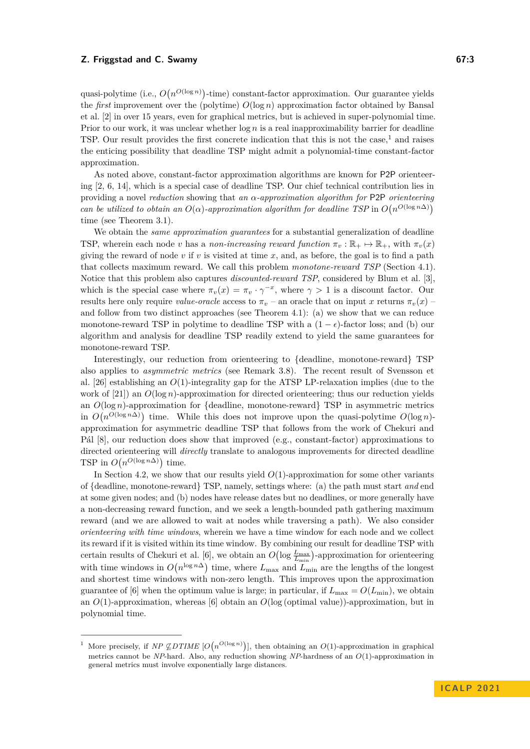quasi-polytime (i.e.,  $O(n^{O(\log n)})$ -time) constant-factor approximation. Our guarantee yields the *first* improvement over the (polytime)  $O(\log n)$  approximation factor obtained by Bansal et al. [\[2\]](#page-19-0) in over 15 years, even for graphical metrics, but is achieved in super-polynomial time. Prior to our work, it was unclear whether  $\log n$  is a real inapproximability barrier for deadline TSP. Our result provides the first concrete indication that this is not the case,<sup>[1](#page-2-0)</sup> and raises the enticing possibility that deadline TSP might admit a polynomial-time constant-factor approximation.

As noted above, constant-factor approximation algorithms are known for P2P orienteering [\[2,](#page-19-0) [6,](#page-19-8) [14\]](#page-19-9), which is a special case of deadline TSP. Our chief technical contribution lies in providing a novel *reduction* showing that *an α-approximation algorithm for* P2P *orienteering can be utilized to obtain an*  $O(\alpha)$ -approximation algorithm for deadline TSP in  $O(n^{O(\log n\Delta)})$ time (see Theorem [3.1\)](#page-6-0).

We obtain the *same approximation guarantees* for a substantial generalization of deadline TSP, wherein each node *v* has a *non-increasing reward function*  $\pi_v : \mathbb{R}_+ \mapsto \mathbb{R}_+$ , with  $\pi_v(x)$ giving the reward of node *v* if *v* is visited at time *x*, and, as before, the goal is to find a path that collects maximum reward. We call this problem *monotone-reward TSP* (Section [4.1\)](#page-13-0). Notice that this problem also captures *discounted-reward TSP*, considered by Blum et al. [\[3\]](#page-19-6), which is the special case where  $\pi_v(x) = \pi_v \cdot \gamma^{-x}$ , where  $\gamma > 1$  is a discount factor. Our results here only require *value-oracle* access to  $\pi_v$  – an oracle that on input *x* returns  $\pi_v(x)$  – and follow from two distinct approaches (see Theorem [4.1\)](#page-13-1): (a) we show that we can reduce monotone-reward TSP in polytime to deadline TSP with a  $(1 - \epsilon)$ -factor loss; and (b) our algorithm and analysis for deadline TSP readily extend to yield the same guarantees for monotone-reward TSP.

Interestingly, our reduction from orienteering to {deadline, monotone-reward} TSP also applies to *asymmetric metrics* (see Remark [3.8\)](#page-12-0). The recent result of Svensson et al. [\[26\]](#page-20-3) establishing an *O*(1)-integrality gap for the ATSP LP-relaxation implies (due to the work of [\[21\]](#page-20-8)) an *O*(log *n*)-approximation for directed orienteering; thus our reduction yields an  $O(\log n)$ -approximation for {deadline, monotone-reward} TSP in asymmetric metrics in  $O(n^{O(\log n\Delta)})$  time. While this does not improve upon the quasi-polytime  $O(\log n)$ approximation for asymmetric deadline TSP that follows from the work of Chekuri and Pál [\[8\]](#page-19-7), our reduction does show that improved (e.g., constant-factor) approximations to directed orienteering will *directly* translate to analogous improvements for directed deadline TSP in  $O(n^{O(\log n\Delta)})$  time.

In Section [4.2,](#page-17-0) we show that our results yield  $O(1)$ -approximation for some other variants of {deadline, monotone-reward} TSP, namely, settings where: (a) the path must start *and* end at some given nodes; and (b) nodes have release dates but no deadlines, or more generally have a non-decreasing reward function, and we seek a length-bounded path gathering maximum reward (and we are allowed to wait at nodes while traversing a path). We also consider *orienteering with time windows*, wherein we have a time window for each node and we collect its reward if it is visited within its time window. By combining our result for deadline TSP with certain results of Chekuri et al. [\[6\]](#page-19-8), we obtain an  $O(\log \frac{L_{\text{max}}}{L_{\text{min}}})$ -approximation for orienteering with time windows in  $O(n^{\log n\Delta})$  time, where  $L_{\text{max}}$  and  $L_{\text{min}}$  are the lengths of the longest and shortest time windows with non-zero length. This improves upon the approximation guarantee of [\[6\]](#page-19-8) when the optimum value is large; in particular, if  $L_{\text{max}} = O(L_{\text{min}})$ , we obtain an *O*(1)-approximation, whereas [\[6\]](#page-19-8) obtain an *O*(log (optimal value))-approximation, but in polynomial time.

<span id="page-2-0"></span><sup>&</sup>lt;sup>1</sup> More precisely, if *NP*  $\mathcal{L}DTIME$  [ $O(n^{O(\log n)})$ ], then obtaining an  $O(1)$ -approximation in graphical metrics cannot be *NP*-hard. Also, any reduction showing *NP*-hardness of an *O*(1)-approximation in general metrics must involve exponentially large distances.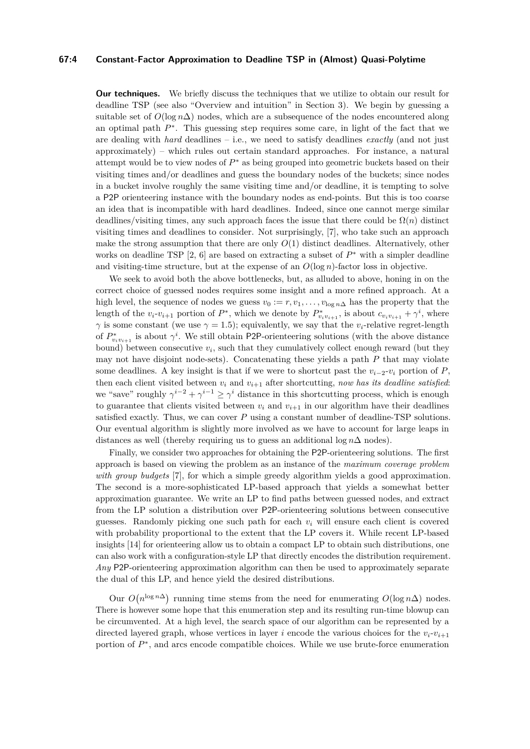## **67:4 Constant-Factor Approximation to Deadline TSP in (Almost) Quasi-Polytime**

**Our techniques.** We briefly discuss the techniques that we utilize to obtain our result for deadline TSP (see also "Overview and intuition" in Section [3\)](#page-6-1). We begin by guessing a suitable set of  $O(\log n\Delta)$  nodes, which are a subsequence of the nodes encountered along an optimal path *P* ∗ . This guessing step requires some care, in light of the fact that we are dealing with *hard* deadlines – i.e., we need to satisfy deadlines *exactly* (and not just approximately) – which rules out certain standard approaches. For instance, a natural attempt would be to view nodes of *P* <sup>∗</sup> as being grouped into geometric buckets based on their visiting times and/or deadlines and guess the boundary nodes of the buckets; since nodes in a bucket involve roughly the same visiting time and/or deadline, it is tempting to solve a P2P orienteering instance with the boundary nodes as end-points. But this is too coarse an idea that is incompatible with hard deadlines. Indeed, since one cannot merge similar deadlines/visiting times, any such approach faces the issue that there could be  $\Omega(n)$  distinct visiting times and deadlines to consider. Not surprisingly, [\[7\]](#page-19-12), who take such an approach make the strong assumption that there are only  $O(1)$  distinct deadlines. Alternatively, other works on deadline TSP [\[2,](#page-19-0) [6\]](#page-19-8) are based on extracting a subset of *P* <sup>∗</sup> with a simpler deadline and visiting-time structure, but at the expense of an  $O(\log n)$ -factor loss in objective.

We seek to avoid both the above bottlenecks, but, as alluded to above, honing in on the correct choice of guessed nodes requires some insight and a more refined approach. At a high level, the sequence of nodes we guess  $v_0 := r, v_1, \ldots, v_{\log n\Delta}$  has the property that the length of the  $v_i v_{i+1}$  portion of  $P^*$ , which we denote by  $P^*_{v_i v_{i+1}}$ , is about  $c_{v_i v_{i+1}} + \gamma^i$ , where *γ* is some constant (we use  $\gamma = 1.5$ ); equivalently, we say that the *v*<sub>*i*</sub>-relative regret-length of  $P_{v_i v_{i+1}}^*$  is about  $\gamma^i$ . We still obtain P2P-orienteering solutions (with the above distance bound) between consecutive  $v_i$ , such that they cumulatively collect enough reward (but they may not have disjoint node-sets). Concatenating these yields a path *P* that may violate some deadlines. A key insight is that if we were to shortcut past the  $v_{i-2}$ - $v_i$  portion of *P*, then each client visited between  $v_i$  and  $v_{i+1}$  after shortcutting, *now has its deadline satisfied*: we "save" roughly  $\gamma^{i-2} + \gamma^{i-1} \geq \gamma^i$  distance in this shortcutting process, which is enough to guarantee that clients visited between  $v_i$  and  $v_{i+1}$  in our algorithm have their deadlines satisfied exactly. Thus, we can cover *P* using a constant number of deadline-TSP solutions. Our eventual algorithm is slightly more involved as we have to account for large leaps in distances as well (thereby requiring us to guess an additional log *n*∆ nodes).

Finally, we consider two approaches for obtaining the P2P-orienteering solutions. The first approach is based on viewing the problem as an instance of the *maximum coverage problem with group budgets* [\[7\]](#page-19-12), for which a simple greedy algorithm yields a good approximation. The second is a more-sophisticated LP-based approach that yields a somewhat better approximation guarantee. We write an LP to find paths between guessed nodes, and extract from the LP solution a distribution over P2P-orienteering solutions between consecutive guesses. Randomly picking one such path for each  $v_i$  will ensure each client is covered with probability proportional to the extent that the LP covers it. While recent LP-based insights [\[14\]](#page-19-9) for orienteering allow us to obtain a compact LP to obtain such distributions, one can also work with a configuration-style LP that directly encodes the distribution requirement. *Any* P2P-orienteering approximation algorithm can then be used to approximately separate the dual of this LP, and hence yield the desired distributions.

Our  $O(n^{\log n\Delta})$  running time stems from the need for enumerating  $O(\log n\Delta)$  nodes. There is however some hope that this enumeration step and its resulting run-time blowup can be circumvented. At a high level, the search space of our algorithm can be represented by a directed layered graph, whose vertices in layer *i* encode the various choices for the  $v_i-v_{i+1}$ portion of  $P^*$ , and arcs encode compatible choices. While we use brute-force enumeration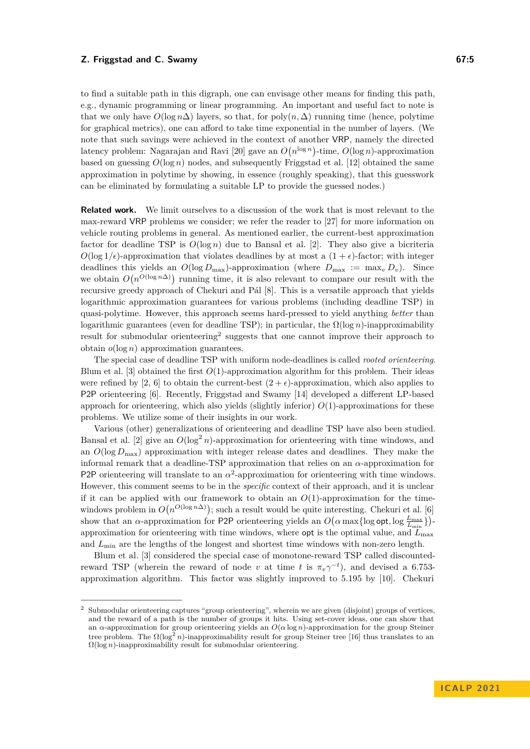to find a suitable path in this digraph, one can envisage other means for finding this path, e.g., dynamic programming or linear programming. An important and useful fact to note is that we only have  $O(\log n \Delta)$  layers, so that, for poly $(n, \Delta)$  running time (hence, polytime for graphical metrics), one can afford to take time exponential in the number of layers. (We note that such savings were achieved in the context of another VRP, namely the directed latency problem: Nagarajan and Ravi [\[20\]](#page-20-9) gave an  $O(n^{\log n})$ -time,  $O(\log n)$ -approximation based on guessing  $O(\log n)$  nodes, and subsequently Friggstad et al. [\[12\]](#page-19-13) obtained the same approximation in polytime by showing, in essence (roughly speaking), that this guesswork can be eliminated by formulating a suitable LP to provide the guessed nodes.)

**Related work.** We limit ourselves to a discussion of the work that is most relevant to the max-reward VRP problems we consider; we refer the reader to [\[27\]](#page-20-0) for more information on vehicle routing problems in general. As mentioned earlier, the current-best approximation factor for deadline TSP is  $O(\log n)$  due to Bansal et al. [\[2\]](#page-19-0). They also give a bicriteria  $O(\log 1/\epsilon)$ -approximation that violates deadlines by at most a  $(1 + \epsilon)$ -factor; with integer deadlines this yields an  $O(\log D_{\text{max}})$ -approximation (where  $D_{\text{max}} := \max_{v} D_v$ ). Since we obtain  $O(n^{O(\log n\Delta)})$  running time, it is also relevant to compare our result with the recursive greedy approach of Chekuri and Pál [\[8\]](#page-19-7). This is a versatile approach that yields logarithmic approximation guarantees for various problems (including deadline TSP) in quasi-polytime. However, this approach seems hard-pressed to yield anything *better* than logarithmic guarantees (even for deadline TSP); in particular, the  $\Omega(\log n)$ -inapproximability result for submodular orienteering<sup>[2](#page-4-0)</sup> suggests that one cannot improve their approach to obtain *o*(log *n*) approximation guarantees.

The special case of deadline TSP with uniform node-deadlines is called *rooted orienteering*. Blum et al. [\[3\]](#page-19-6) obtained the first *O*(1)-approximation algorithm for this problem. Their ideas were refined by [\[2,](#page-19-0) [6\]](#page-19-8) to obtain the current-best  $(2 + \epsilon)$ -approximation, which also applies to P2P orienteering [\[6\]](#page-19-8). Recently, Friggstad and Swamy [\[14\]](#page-19-9) developed a different LP-based approach for orienteering, which also yields (slightly inferior) *O*(1)-approximations for these problems. We utilize some of their insights in our work.

Various (other) generalizations of orienteering and deadline TSP have also been studied. Bansal et al. [\[2\]](#page-19-0) give an  $O(\log^2 n)$ -approximation for orienteering with time windows, and an  $O(\log D_{\max})$  approximation with integer release dates and deadlines. They make the informal remark that a deadline-TSP approximation that relies on an *α*-approximation for P2P orienteering will translate to an  $\alpha^2$ -approximation for orienteering with time windows. However, this comment seems to be in the *specific* context of their approach, and it is unclear if it can be applied with our framework to obtain an  $O(1)$ -approximation for the timewindows problem in  $O(n^{O(\log n\Delta)})$ ; such a result would be quite interesting. Chekuri et al. [\[6\]](#page-19-8) show that an *α*-approximation for P2P orienteering yields an  $O(\alpha \max\{\log \mathsf{opt}, \log \frac{L_{\max}}{L_{\min}}\})$ approximation for orienteering with time windows, where **opt** is the optimal value, and  $L_{\text{max}}$ and  $L_{\text{min}}$  are the lengths of the longest and shortest time windows with non-zero length.

Blum et al. [\[3\]](#page-19-6) considered the special case of monotone-reward TSP called discountedreward TSP (wherein the reward of node *v* at time *t* is  $\pi_v \gamma^{-t}$ ), and devised a 6.753approximation algorithm. This factor was slightly improved to 5*.*195 by [\[10\]](#page-19-14). Chekuri

<span id="page-4-0"></span><sup>&</sup>lt;sup>2</sup> Submodular orienteering captures "group orienteering", wherein we are given (disjoint) groups of vertices, and the reward of a path is the number of groups it hits. Using set-cover ideas, one can show that an *α*-approximation for group orienteering yields an *O*(*α* log *n*)-approximation for the group Steiner tree problem. The  $\Omega(\log^2 n)$ -inapproximability result for group Steiner tree [\[16\]](#page-19-15) thus translates to an Ω(log *n*)-inapproximability result for submodular orienteering.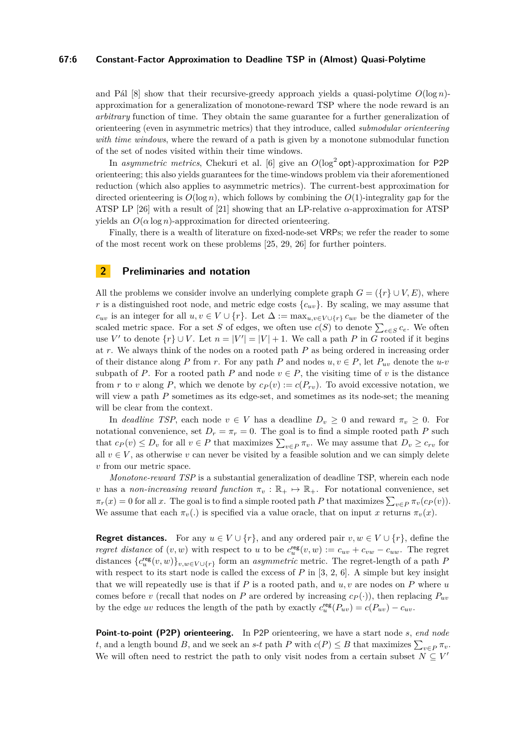## **67:6 Constant-Factor Approximation to Deadline TSP in (Almost) Quasi-Polytime**

and Pál  $[8]$  show that their recursive-greedy approach yields a quasi-polytime  $O(\log n)$ approximation for a generalization of monotone-reward TSP where the node reward is an *arbitrary* function of time. They obtain the same guarantee for a further generalization of orienteering (even in asymmetric metrics) that they introduce, called *submodular orienteering with time windows*, where the reward of a path is given by a monotone submodular function of the set of nodes visited within their time windows.

In *asymmetric metrics*, Chekuri et al. [\[6\]](#page-19-8) give an  $O(\log^2 opt)$ -approximation for P2P orienteering; this also yields guarantees for the time-windows problem via their aforementioned reduction (which also applies to asymmetric metrics). The current-best approximation for directed orienteering is  $O(\log n)$ , which follows by combining the  $O(1)$ -integrality gap for the ATSP LP [\[26\]](#page-20-3) with a result of [\[21\]](#page-20-8) showing that an LP-relative *α*-approximation for ATSP yields an  $O(\alpha \log n)$ -approximation for directed orienteering.

Finally, there is a wealth of literature on fixed-node-set VRPs; we refer the reader to some of the most recent work on these problems [\[25,](#page-20-1) [29,](#page-20-2) [26\]](#page-20-3) for further pointers.

# **2 Preliminaries and notation**

All the problems we consider involve an underlying complete graph  $G = (\{r\} \cup V, E)$ , where *r* is a distinguished root node, and metric edge costs  $\{c_{uv}\}$ . By scaling, we may assume that *c*<sub>*uv*</sub> is an integer for all *u, v* ∈ *V* ∪ {*r*}. Let  $\Delta$  := max<sub>*u,v*∈*V* ∪{*r*} *c*<sub>*uv*</sub> be the diameter of the</sub> scaled metric space. For a set *S* of edges, we often use  $c(S)$  to denote  $\sum_{e \in S} c_e$ . We often use *V'* to denote  $\{r\} \cup V$ . Let  $n = |V'| = |V| + 1$ . We call a path *P* in *G* rooted if it begins at *r*. We always think of the nodes on a rooted path *P* as being ordered in increasing order of their distance along *P* from *r*. For any path *P* and nodes  $u, v \in P$ , let  $P_{uv}$  denote the  $u$ -*v* subpath of *P*. For a rooted path *P* and node  $v \in P$ , the visiting time of *v* is the distance from *r* to *v* along *P*, which we denote by  $c_P(v) := c(P_{rv})$ . To avoid excessive notation, we will view a path *P* sometimes as its edge-set, and sometimes as its node-set; the meaning will be clear from the context.

In *deadline TSP*, each node  $v \in V$  has a deadline  $D_v \geq 0$  and reward  $\pi_v \geq 0$ . For notational convenience, set  $D_r = \pi_r = 0$ . The goal is to find a simple rooted path *P* such that  $c_P(v) \leq D_v$  for all  $v \in P$  that maximizes  $\sum_{v \in P} \pi_v$ . We may assume that  $D_v \geq c_{rv}$  for all  $v \in V$ , as otherwise *v* can never be visited by a feasible solution and we can simply delete *v* from our metric space.

*Monotone-reward TSP* is a substantial generalization of deadline TSP, wherein each node *v* has a *non-increasing reward function*  $\pi_v : \mathbb{R}_+ \to \mathbb{R}_+$ . For notational convenience, set  $\pi_r(x) = 0$  for all *x*. The goal is to find a simple rooted path *P* that maximizes  $\sum_{v \in P} \pi_v(c_P(v))$ . We assume that each  $\pi_v(.)$  is specified via a value oracle, that on input x returns  $\pi_v(x)$ .

**Regret distances.** For any  $u \in V \cup \{r\}$ , and any ordered pair  $v, w \in V \cup \{r\}$ , define the *regret distance* of  $(v, w)$  with respect to *u* to be  $c_u^{\text{reg}}(v, w) := c_{uv} + c_{vw} - c_{uw}$ . The regret distances  ${c}^{\text{reg}}_u(v, w)$ ,  $v, w \in V \cup \{r\}$  form an *asymmetric* metric. The regret-length of a path *P* with respect to its start node is called the excess of  $P$  in  $[3, 2, 6]$  $[3, 2, 6]$  $[3, 2, 6]$  $[3, 2, 6]$  $[3, 2, 6]$ . A simple but key insight that we will repeatedly use is that if *P* is a rooted path, and *u, v* are nodes on *P* where *u* comes before *v* (recall that nodes on *P* are ordered by increasing  $c_P(.)$ ), then replacing  $P_{uv}$ by the edge *uv* reduces the length of the path by exactly  $c_u^{\text{reg}}(P_{uv}) = c(P_{uv}) - c_{uv}$ .

**Point-to-point (P2P) orienteering.** In P2P orienteering, we have a start node *s*, *end node t*, and a length bound *B*, and we seek an *s*-*t* path *P* with  $c(P) \leq B$  that maximizes  $\sum_{v \in P} \pi_v$ . We will often need to restrict the path to only visit nodes from a certain subset  $N \subseteq V'$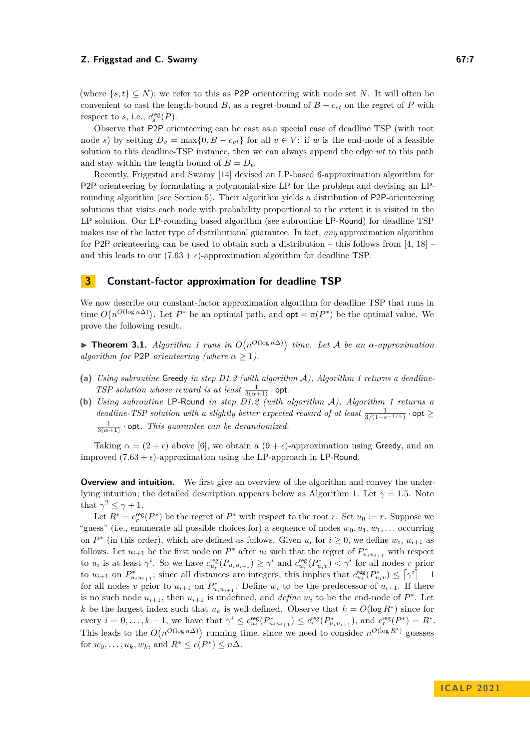(where  $\{s, t\} \subseteq N$ ); we refer to this as P2P orienteering with node set *N*. It will often be convenient to cast the length-bound *B*, as a regret-bound of  $B - c_{st}$  on the regret of *P* with respect to *s*, i.e.,  $c_s^{\text{reg}}(P)$ .

Observe that P2P orienteering can be cast as a special case of deadline TSP (with root node *s*) by setting  $D_v = \max\{0, B - c_{vt}\}\$  for all  $v \in V$ : if *w* is the end-node of a feasible solution to this deadline-TSP instance, then we can always append the edge *wt* to this path and stay within the length bound of  $B = D_t$ .

Recently, Friggstad and Swamy [\[14\]](#page-19-9) devised an LP-based 6-approximation algorithm for P2P orienteering by formulating a polynomial-size LP for the problem and devising an LProunding algorithm (see Section [5\)](#page-18-0). Their algorithm yields a distribution of P2P-orienteering solutions that visits each node with probability proportional to the extent it is visited in the LP solution. Our LP-rounding based algorithm (see subroutine LP-Round) for deadline TSP makes use of the latter type of distributional guarantee. In fact, *any* approximation algorithm for P2P orienteering can be used to obtain such a distribution – this follows from [\[4,](#page-19-16) [18\]](#page-19-17) – and this leads to our  $(7.63 + \epsilon)$ -approximation algorithm for deadline TSP.

## <span id="page-6-1"></span>**3 Constant-factor approximation for deadline TSP**

We now describe our constant-factor approximation algorithm for deadline TSP that runs in time  $O(n^{O(\log n\Delta)})$ . Let  $P^*$  be an optimal path, and  $opt = \pi(P^*)$  be the optimal value. We prove the following result.

<span id="page-6-0"></span>▶ **Theorem 3.1.** *Algorithm [1](#page-8-0) runs in*  $O(n^{O(\log n\Delta)})$  *time. Let A be an*  $\alpha$ -*approximation algorithm for* P2P *orienteering (where*  $\alpha > 1$ ).

- **(a)** *Using subroutine* Greedy *in step D1.2 (with algorithm* A*), Algorithm [1](#page-8-0) returns a deadline-TSP solution whose reward is at least*  $\frac{1}{3(\alpha+1)}$  · opt.
- **(b)** *Using subroutine* LP*-*Round *in step D1.2 (with algorithm* A*), Algorithm [1](#page-8-0) returns a deadline-TSP solution with a slightly better expected reward of at least*  $\frac{1}{3/(1-e^{-1/\alpha})}$  · opt  $\geq$  $\frac{1}{3(\alpha+1)}$  · opt. This guarantee can be derandomized.

Taking  $\alpha = (2 + \epsilon)$  above [\[6\]](#page-19-8), we obtain a  $(9 + \epsilon)$ -approximation using Greedy, and an improved  $(7.63 + \epsilon)$ -approximation using the LP-approach in LP-Round.

**Overview and intuition.** We first give an overview of the algorithm and convey the under-lying intuition; the detailed description appears below as Algorithm [1.](#page-8-0) Let  $\gamma = 1.5$ . Note that  $\gamma^2 \leq \gamma + 1$ .

Let  $R^* = c_r^{\text{reg}}(P^*)$  be the regret of  $P^*$  with respect to the root *r*. Set  $u_0 := r$ . Suppose we "guess" (i.e., enumerate all possible choices for) a sequence of nodes *w*0*, u*1*, w*1*, . . .* occurring on  $P^*$  (in this order), which are defined as follows. Given  $u_i$  for  $i \geq 0$ , we define  $w_i$ ,  $u_{i+1}$  as follows. Let  $u_{i+1}$  be the first node on  $P^*$  after  $u_i$  such that the regret of  $P^*_{u_i u_{i+1}}$  with respect to  $u_i$  is at least  $\gamma^i$ . So we have  $c_{u_i}^{\text{reg}}(P_{u_iu_{i+1}}) \geq \gamma^i$  and  $c_{u_i}^{\text{reg}}(P_{u_iv}^*) < \gamma^i$  for all nodes v prior to  $u_{i+1}$  on  $P^*_{u_i u_{i+1}}$ ; since all distances are integers, this implies that  $c_{u_i}^{\text{reg}}(P^*_{u_i v}) \leq [\gamma^i]-1$ for all nodes *v* prior to  $u_{i+1}$  on  $P_{u_i u_{i+1}}^*$ . Define  $w_i$  to be the predecessor of  $u_{i+1}$ . If there is no such node  $u_{i+1}$ , then  $u_{i+1}$  is undefined, and *define*  $w_i$  to be the end-node of  $P^*$ . Let *k* be the largest index such that  $u_k$  is well defined. Observe that  $k = O(\log R^*)$  since for every  $i = 0, \ldots, k - 1$ , we have that  $\gamma^i \leq c_{u_i}^{\text{reg}}(P_{u_i u_{i+1}}^*) \leq c_r^{\text{reg}}(P_{u_i u_{i+1}}^*)$ , and  $c_r^{\text{reg}}(P^*) = R^*$ . This leads to the  $O(n^{O(\log n\Delta)})$  running time, since we need to consider  $n^{O(\log R^*)}$  guesses for  $w_0, ..., u_k, w_k$ , and  $R^* \le c(P^*) \le n\Delta$ .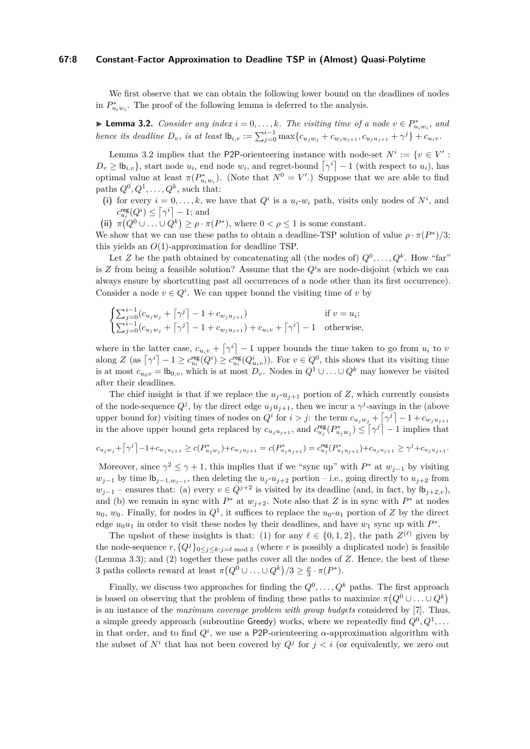## **67:8 Constant-Factor Approximation to Deadline TSP in (Almost) Quasi-Polytime**

We first observe that we can obtain the following lower bound on the deadlines of nodes in  $P_{u_iw_i}^*$ . The proof of the following lemma is deferred to the analysis.

<span id="page-7-0"></span>▶ **Lemma 3.2.** *Consider any index*  $i = 0, \ldots, k$ *. The visiting time of a node*  $v \in P^*_{u_i w_i}$ *, and* hence its deadline  $D_v$ , is at least  $\mathsf{lb}_{i,v} := \sum_{j=0}^{i-1} \max\{c_{u_jw_j} + c_{w_ju_{j+1}}, c_{u_ju_{j+1}} + \gamma^j\} + c_{u_iv}$ .

Lemma [3.2](#page-7-0) implies that the P2P-orienteering instance with node-set  $N^i := \{v \in V' :$  $D_v \geq \mathsf{lb}_{i,v}$ , start node  $u_i$ , end node  $w_i$ , and regret-bound  $\lceil \gamma^i \rceil - 1$  (with respect to  $u_i$ ), has optimal value at least  $\pi(P^*_{u_i w_i})$ . (Note that  $N^0 = V'$ .) Suppose that we are able to find paths  $Q^0, Q^1, \ldots, Q^k$ , such that:

(i) for every  $i = 0, \ldots, k$ , we have that  $Q^i$  is a  $u_i$ - $w_i$  path, visits only nodes of  $N^i$ , and  $c_{u_i}^{\text{reg}}(Q^i) \leq \lceil \gamma^i \rceil - 1$ ; and

(ii)  $\pi(Q^0 \cup ... \cup Q^k) \geq \rho \cdot \pi(P^*)$ , where  $0 < \rho \leq 1$  is some constant.

We show that we can use these paths to obtain a deadline-TSP solution of value  $\rho \cdot \pi(P^*)/3$ ; this yields an *O*(1)-approximation for deadline TSP.

Let *Z* be the path obtained by concatenating all (the nodes of)  $Q^0, \ldots, Q^k$ . How "far" is  $Z$  from being a feasible solution? Assume that the  $Q^i$ s are node-disjoint (which we can always ensure by shortcutting past all occurrences of a node other than its first occurrence). Consider a node  $v \in Q^i$ . We can upper bound the visiting time of *v* by

$$
\begin{cases} \sum_{j=0}^{i-1} (c_{u_j w_j} + \lceil \gamma^j \rceil - 1 + c_{w_j u_{j+1}}) & \text{if } v = u_i; \\ \sum_{j=0}^{i-1} (c_{u_j w_j} + \lceil \gamma^j \rceil - 1 + c_{w_j u_{j+1}}) + c_{u_i v} + \lceil \gamma^i \rceil - 1 & \text{otherwise,} \end{cases}
$$

where in the latter case,  $c_{u_iv} + \lceil \gamma^i \rceil - 1$  upper bounds the time taken to go from  $u_i$  to  $v_i$ along  $Z$  (as  $\lceil \gamma^i \rceil - 1 \geq c_{u_i}^{\text{reg}}(Q^i) \geq c_{u_i}^{\text{reg}}(Q^i_{u_i v})$ ). For  $v \in Q^0$ , this shows that its visiting time is at most  $c_{u_0v} = \mathsf{lb}_{0,v}$ , which is at most  $D_v$ . Nodes in  $Q^1 \cup \ldots \cup Q^k$  may however be visited after their deadlines.

The chief insight is that if we replace the  $u_j$ - $u_{j+1}$  portion of *Z*, which currently consists of the node-sequence  $Q^j$ , by the direct edge  $u_ju_{j+1}$ , then we incur a  $\gamma^j$ -savings in the (above upper bound for) visiting times of nodes on  $Q^i$  for  $i > j$ : the term  $c_{u_jw_j} + \lceil \gamma^j \rceil - 1 + c_{w_ju_{j+1}}$ in the above upper bound gets replaced by  $c_{u_ju_{j+1}}$ , and  $c_{u_j}^{\text{reg}}(P_{u_jw_j}^*) \leq [\gamma^j] - 1$  implies that

$$
c_{u_jw_j} + \left\lceil \gamma^j \right\rceil - 1 + c_{w_ju_{j+1}} \geq c(P^*_{u_jw_j}) + c_{w_ju_{j+1}} = c(P^*_{u_ju_{j+1}}) = c^{\text{reg}}_{u_j}(P^*_{u_ju_{j+1}}) + c_{u_ju_{j+1}} \geq \gamma^j + c_{u_ju_{j+1}}.
$$

Moreover, since  $\gamma^2 \leq \gamma + 1$ , this implies that if we "sync up" with  $P^*$  at  $w_{j-1}$  by visiting *w*<sup>*j*−1</sup> by time  $\mathsf{lb}_{j-1,w_{j-1}}$ , then deleting the *u<sub>j</sub>*-*u<sub>j</sub>*+2 portion – i.e., going directly to *u<sub>j</sub>*+2 from *w*<sub>*j*−1</sub> – ensures that: (a) every  $v \in Q^{j+2}$  is visited by its deadline (and, in fact, by  $\mathsf{lb}_{j+2,v}$ ), and (b) we remain in sync with  $P^*$  at  $w_{j+2}$ . Note also that *Z* is in sync with  $P^*$  at nodes  $u_0, w_0$ . Finally, for nodes in  $Q^1$ , it suffices to replace the  $u_0$ - $u_1$  portion of *Z* by the direct edge  $u_0u_1$  in order to visit these nodes by their deadlines, and have  $w_1$  sync up with  $P^*$ .

The upshot of these insights is that: (1) for any  $\ell \in \{0, 1, 2\}$ , the path  $Z^{(\ell)}$  given by the node-sequence  $r, \{Q^j\}_{0 \leq j \leq k; j \in \ell \text{ mod } 3}$  (where r is possibly a duplicated node) is feasible (Lemma [3.3\)](#page-9-0); and (2) together these paths cover all the nodes of *Z*. Hence, the best of these 3 paths collects reward at least  $\pi \left( Q^0 \cup \ldots \cup Q^k \right) / 3 \ge \frac{\rho}{3} \cdot \pi(P^*)$ .

Finally, we discuss two approaches for finding the  $Q^0, \ldots, Q^k$  paths. The first approach is based on observing that the problem of finding these paths to maximize  $\pi(Q^0 \cup \ldots \cup Q^k)$ is an instance of the *maximum coverage problem with group budgets* considered by [\[7\]](#page-19-12). Thus, a simple greedy approach (subroutine Greedy) works, where we repeatedly find  $Q^0, Q^1, \ldots$ in that order, and to find  $Q^i$ , we use a P2P-orienteering  $\alpha$ -approximation algorithm with the subset of  $N^i$  that has not been covered by  $Q^j$  for  $j < i$  (or equivalently, we zero out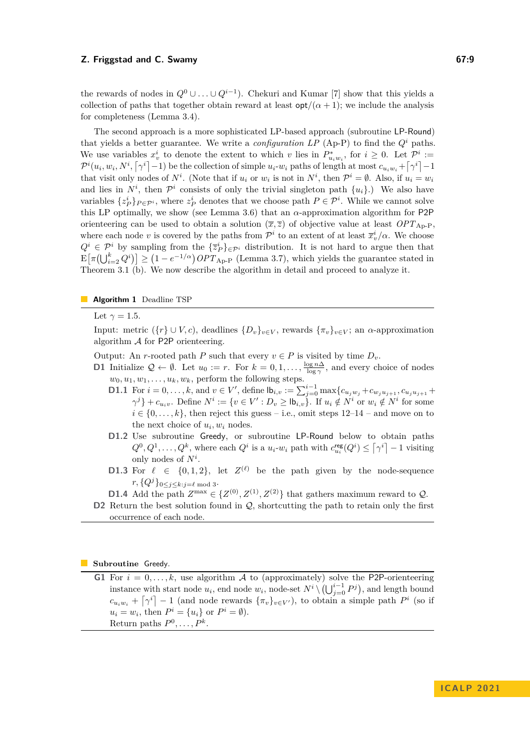the rewards of nodes in  $Q^0 \cup \ldots \cup Q^{i-1}$ ). Chekuri and Kumar [\[7\]](#page-19-12) show that this yields a collection of paths that together obtain reward at least  $\cot/(\alpha + 1)$ ; we include the analysis for completeness (Lemma [3.4\)](#page-10-0).

The second approach is a more sophisticated LP-based approach (subroutine LP-Round) that yields a better guarantee. We write a *configuration LP* [\(Ap-P\)](#page-9-1) to find the  $Q^i$  paths. We use variables  $x_v^i$  to denote the extent to which *v* lies in  $P_{u_iw_i}^*$ , for  $i \geq 0$ . Let  $\mathcal{P}^i :=$  $\mathcal{P}^i(u_i, w_i, N^i, \lceil \gamma^i \rceil - 1)$  be the collection of simple  $u_i$ - $w_i$  paths of length at most  $c_{u_iw_i} + \lceil \gamma^i \rceil - 1$ that visit only nodes of  $N^i$ . (Note that if  $u_i$  or  $w_i$  is not in  $N^i$ , then  $\mathcal{P}^i = \emptyset$ . Also, if  $u_i = w_i$ and lies in  $N^i$ , then  $\mathcal{P}^i$  consists of only the trivial singleton path  $\{u_i\}$ .) We also have variables  $\{z_P^i\}_{P \in \mathcal{P}^i}$ , where  $z_P^i$  denotes that we choose path  $P \in \mathcal{P}^i$ . While we cannot solve this LP optimally, we show (see Lemma [3.6\)](#page-11-0) that an  $\alpha$ -approximation algorithm for P2P orienteering can be used to obtain a solution  $(\bar{x}, \bar{z})$  of objective value at least  $OPT_{AD-P}$ , where each node *v* is covered by the paths from  $\mathcal{P}^i$  to an extent of at least  $\overline{x}^i_v/\alpha$ . We choose  $Q^i \in \mathcal{P}^i$  by sampling from the  $\{\overline{z}_P^i\}_{\in \mathcal{P}^i}$  distribution. It is not hard to argue then that  $\mathbb{E}[\pi(\bigcup_{i=2}^{k} Q^{i})] \geq (1 - e^{-1/\alpha}) \text{OPT}_{\text{Ap-P}}$  $\mathbb{E}[\pi(\bigcup_{i=2}^{k} Q^{i})] \geq (1 - e^{-1/\alpha}) \text{OPT}_{\text{Ap-P}}$  $\mathbb{E}[\pi(\bigcup_{i=2}^{k} Q^{i})] \geq (1 - e^{-1/\alpha}) \text{OPT}_{\text{Ap-P}}$  (Lemma [3.7\)](#page-11-1), which yields the guarantee stated in Theorem [3.1](#page-6-0) (b). We now describe the algorithm in detail and proceed to analyze it.

## **Algorithm 1** Deadline TSP

<span id="page-8-0"></span>Let  $\gamma = 1.5$ .

Input: metric ( $\{r\} \cup V, c$ ), deadlines  $\{D_v\}_{v \in V}$ , rewards  $\{\pi_v\}_{v \in V}$ ; an  $\alpha$ -approximation algorithm  $\mathcal A$  for P2P orienteering.

Output: An *r*-rooted path *P* such that every  $v \in P$  is visited by time  $D_v$ .

- <span id="page-8-1"></span>**D1** Initialize  $\mathcal{Q} \leftarrow \emptyset$ . Let  $u_0 := r$ . For  $k = 0, 1, \ldots, \frac{\log n\Delta}{\log \gamma}$ , and every choice of nodes  $w_0, u_1, w_1, \ldots, u_k, w_k$ , perform the following steps.
	- **D1.1** For  $i = 0, ..., k$ , and  $v \in V'$ , define  $\mathsf{lb}_{i,v} := \sum_{j=0}^{i-1} \max\{c_{u_jw_j} + c_{w_ju_{j+1}}, c_{u_ju_{j+1}} + c_{w_ju_{j+1}}\}$  $\{\gamma^j\}+c_{u_iv}.$  Define  $N^i:=\{v\in V':D_v\geq \mathsf{lb}_{i,v}\}$ . If  $u_i\notin N^i$  or  $w_i\notin N^i$  for some  $i \in \{0, \ldots, k\}$ , then reject this guess – i.e., omit steps  $12-14$  – and move on to the next choice of  $u_i, w_i$  nodes.
	- **D1.2** Use subroutine Greedy, or subroutine LP-Round below to obtain paths  $Q^0, Q^1, \ldots, Q^k$ , where each  $Q^i$  is a  $u_i$ - $w_i$  path with  $c_{u_i}^{\text{reg}}(Q^i) \leq [\gamma^i] - 1$  visiting only nodes of *N<sup>i</sup>* .
	- **D1.3** For  $\ell \in \{0,1,2\}$ , let  $Z^{(\ell)}$  be the path given by the node-sequence  $r, \{Q^{j}\}_{0 \leq j \leq k; j \in \ell \text{ mod } 3}.$
	- **D1.4** Add the path  $Z^{\max}$  ∈ { $Z^{(0)}, Z^{(1)}, Z^{(2)}$ } that gathers maximum reward to  $Q$ .
- <span id="page-8-2"></span>**D2** Return the best solution found in  $Q$ , shortcutting the path to retain only the first occurrence of each node.

#### **Subroutine** Greedy.

**G1** For  $i = 0, \ldots, k$ , use algorithm A to (approximately) solve the P2P-orienteering instance with start node  $u_i$ , end node  $w_i$ , node-set  $N^i \setminus (\bigcup_{j=0}^{i-1} P^j)$ , and length bound  $c_{u_iw_i} + \left[\gamma^i\right] - 1$  (and node rewards  $\{\pi_v\}_{v \in V'}$ ), to obtain a simple path *P*<sup>*i*</sup> (so if  $u_i = w_i$ , then  $P^i = \{u_i\}$  or  $P^i = \emptyset$ . Return paths  $P^0, \ldots, P^k$ .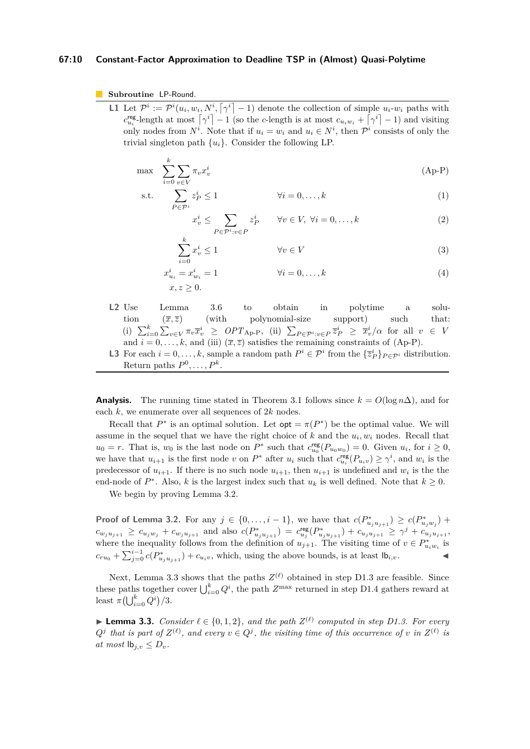## **67:10 Constant-Factor Approximation to Deadline TSP in (Almost) Quasi-Polytime**

**Subroutine** LP-Round.

**L1** Let  $\mathcal{P}^i := \mathcal{P}^i(u_i, w_i, N^i, \lceil \gamma^i \rceil - 1)$  denote the collection of simple  $u_i$ - $w_i$  paths with  $c_{u_i}^{\text{reg}}$ -length at most  $\lceil \gamma^i \rceil - 1$  (so the *c*-length is at most  $c_{u_i w_i} + \lceil \gamma^i \rceil - 1$ ) and visiting only nodes from  $N^i$ . Note that if  $u_i = w_i$  and  $u_i \in N^i$ , then  $\mathcal{P}^i$  consists of only the trivial singleton path  $\{u_i\}$ . Consider the following LP.

$$
\max \sum_{i=0}^{k} \sum_{v \in V} \pi_v x_v^i \tag{Ap-P}
$$

$$
\text{s.t.} \qquad \sum_{P \in \mathcal{P}^i} z_P^i \le 1 \qquad \qquad \forall i = 0, \dots, k \tag{1}
$$

<span id="page-9-3"></span><span id="page-9-2"></span><span id="page-9-1"></span>
$$
x_v^i \le \sum_{P \in \mathcal{P}^i : v \in P} z_P^i \qquad \forall v \in V, \ \forall i = 0, \dots, k
$$
 (2)

$$
\sum_{i=0}^{k} x_v^i \le 1 \qquad \qquad \forall v \in V \tag{3}
$$

$$
x_{u_i}^i = x_{w_i}^i = 1 \qquad \qquad \forall i = 0, ..., k
$$
\n
$$
x, z \ge 0.
$$
\n(4)

- **L2** Use Lemma [3.6](#page-11-0) to obtain in polytime a solution  $(\bar{x}, \bar{z})$  (with polynomial-size support) such that: (i)  $\sum_{i=0}^k \sum_{v \in V} \pi_v \overline{x}_v^i \geq OPT_{\text{Ap-P}},$  $\sum_{i=0}^k \sum_{v \in V} \pi_v \overline{x}_v^i \geq OPT_{\text{Ap-P}},$  $\sum_{i=0}^k \sum_{v \in V} \pi_v \overline{x}_v^i \geq OPT_{\text{Ap-P}},$  (ii)  $\sum_{P \in \mathcal{P}^i : v \in P} \overline{z}_P^i \geq \overline{x}_v^i/\alpha$  for all  $v \in V$ and  $i = 0, \ldots, k$ , and (iii)  $(\overline{x}, \overline{z})$  satisfies the remaining constraints of [\(Ap-P\)](#page-9-1).
- **L3** For each  $i = 0, \ldots, k$ , sample a random path  $P^i \in \mathcal{P}^i$  from the  $\{\overline{z}_P^i\}_{P \in \mathcal{P}^i}$  distribution. Return paths  $P^0, \ldots, P^k$ .

**Analysis.** The running time stated in Theorem [3.1](#page-6-0) follows since  $k = O(\log n \Delta)$ , and for each *k*, we enumerate over all sequences of 2*k* nodes.

Recall that  $P^*$  is an optimal solution. Let  $opt = \pi(P^*)$  be the optimal value. We will assume in the sequel that we have the right choice of  $k$  and the  $u_i, w_i$  nodes. Recall that  $u_0 = r$ . That is,  $w_0$  is the last node on  $P^*$  such that  $c_{u_0}^{\text{reg}}(P_{u_0w_0}) = 0$ . Given  $u_i$ , for  $i \geq 0$ , we have that  $u_{i+1}$  is the first node *v* on  $P^*$  after  $u_i$  such that  $c_{u_i}^{\text{reg}}(P_{u_iv}) \geq \gamma^i$ , and  $w_i$  is the predecessor of  $u_{i+1}$ . If there is no such node  $u_{i+1}$ , then  $u_{i+1}$  is undefined and  $w_i$  is the the end-node of  $P^*$ . Also, *k* is the largest index such that  $u_k$  is well defined. Note that  $k \geq 0$ .

We begin by proving Lemma [3.2.](#page-7-0)

**Proof of Lemma [3.2.](#page-7-0)** For any *j* ∈ {0,...,*i* − 1}, we have that  $c(P^*_{u_ju_{j+1}}) \ge c(P^*_{u_jw_j}) + c(P^*_{u_jw_j} + P^*_{u_jw_j})$  $c_{w_ju_{j+1}} \geq c_{u_jw_j} + c_{w_ju_{j+1}}$  and also  $c(P^*_{u_ju_{j+1}}) = c_{u_j}^{\text{reg}}(P^*_{u_ju_{j+1}}) + c_{u_ju_{j+1}} \geq \gamma^j + c_{u_ju_{j+1}}$ where the inequality follows from the definition of  $u_{j+1}$ . The visiting time of  $v \in P^*_{u_i w_i}$  is  $c_{ru_0} + \sum_{j=0}^{i-1} c(P^*_{u_ju_{j+1}}) + c_{u_iv}$ , which, using the above bounds, is at least  $|b_{i,v}$ .

Next, Lemma [3.3](#page-9-0) shows that the paths  $Z^{(\ell)}$  obtained in step D1.3 are feasible. Since these paths together cover  $\bigcup_{i=0}^{k} Q^i$ , the path  $Z^{\max}$  returned in step D1.4 gathers reward at least  $\pi(\bigcup_{i=0}^k Q^i)/3$ .

<span id="page-9-0"></span>▶ **Lemma 3.3.** *Consider*  $\ell \in \{0, 1, 2\}$ *, and the path*  $Z^{(\ell)}$  *computed in step D1.3. For every*  $Q^j$  that is part of  $Z^{(\ell)}$ , and every  $v \in Q^j$ , the visiting time of this occurrence of *v* in  $Z^{(\ell)}$  is *at most*  $\mathsf{lb}_{i,v} \leq D_v$ .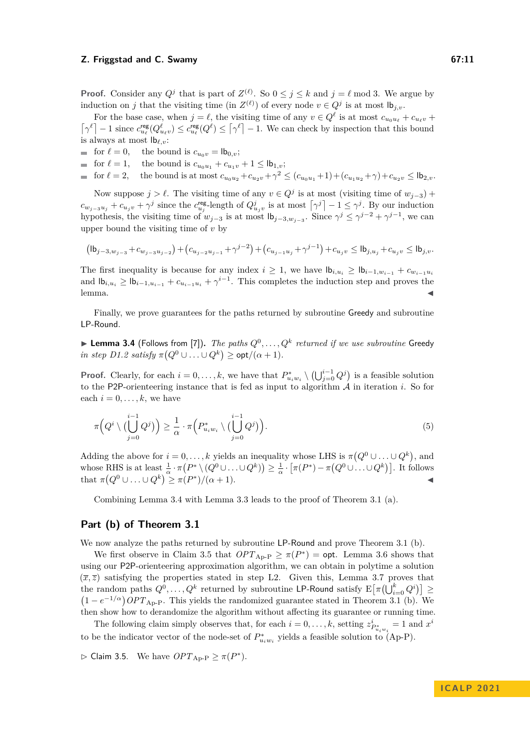**Proof.** Consider any  $Q^j$  that is part of  $Z^{(\ell)}$ . So  $0 \leq j \leq k$  and  $j = \ell \mod 3$ . We argue by induction on *j* that the visiting time (in  $Z^{(\ell)}$ ) of every node  $v \in Q^j$  is at most  $\mathsf{lb}_{j,v}$ .

For the base case, when  $j = \ell$ , the visiting time of any  $v \in Q^{\ell}$  is at most  $c_{u_0u_{\ell}} + c_{u_{\ell}v} + c_{u_{\ell}v}$  $\lceil \gamma^{\ell} \rceil - 1$  since  $c_{u_{\ell}}^{\text{reg}}(Q_{u_{\ell}v}^{\ell}) \leq c_{u_{\ell}}^{\text{reg}}(Q^{\ell}) \leq \lceil \gamma^{\ell} \rceil - 1$ . We can check by inspection that this bound is always at most lb*ℓ,v*:

- for  $\ell = 0$ , the bound is  $c_{u_0v} = \mathsf{lb}_{0,v}$ ;
- for  $\ell = 1$ , the bound is  $c_{u_0u_1} + c_{u_1v} + 1 \leq \mathsf{lb}_{1,v}$ ;
- for  $\ell = 2$ , the bound is at most  $c_{u_0u_2} + c_{u_2v} + \gamma^2 \le (c_{u_0u_1} + 1) + (c_{u_1u_2} + \gamma) + c_{u_2v} \le \mathsf{lb}_{2,v}$ .

Now suppose  $j > l$ . The visiting time of any  $v \in Q^j$  is at most (visiting time of  $w_{j-3}$ ) +  $c_{w_{j-3}u_j} + c_{u_jv} + \gamma^j$  since the  $c_{u_j}^{\text{reg-}}$ length of  $Q_{u_jv}^j$  is at most  $\lceil \gamma^j \rceil - 1 \leq \gamma^j$ . By our induction hypothesis, the visiting time of  $w_{j-3}$  is at most  $\vert b_{j-3,w_{j-3}}$ . Since  $\gamma^j \leq \gamma^{j-2} + \gamma^{j-1}$ , we can upper bound the visiting time of *v* by

$$
(\mathrm{lb}_{j-3,w_{j-3}}+c_{w_{j-3}u_{j-2}})+(c_{u_{j-2}u_{j-1}}+\gamma^{j-2})+(c_{u_{j-1}u_j}+\gamma^{j-1})+c_{u_jv}\leq \mathrm{lb}_{j,u_j}+c_{u_jv}\leq \mathrm{lb}_{j,v}.
$$

The first inequality is because for any index  $i \geq 1$ , we have  $\mathsf{lb}_{i,u_i} \geq \mathsf{lb}_{i-1,w_{i-1}} + c_{w_{i-1}u_i}$ and  $\mathsf{lb}_{i,u_i} \geq \mathsf{lb}_{i-1,u_{i-1}} + c_{u_{i-1}u_i} + \gamma^{i-1}$ . This completes the induction step and proves the  $l$ emma.  $\blacktriangleleft$ 

Finally, we prove guarantees for the paths returned by subroutine Greedy and subroutine LP-Round.

<span id="page-10-0"></span> $\blacktriangleright$  Lemma 3.4 (Follows from [\[7\]](#page-19-12)). *The paths*  $Q^0, \ldots, Q^k$  *returned if we use subroutine* Greedy  $\int$ *in step D1.2 satisfy*  $\pi(Q^0 \cup \ldots \cup Q^k) \geq \text{opt}/(\alpha+1)$ *.* 

**Proof.** Clearly, for each  $i = 0, \ldots, k$ , we have that  $P_{u_i w_i}^* \setminus (\bigcup_{j=0}^{i-1} Q^j)$  is a feasible solution to the P2P-orienteering instance that is fed as input to algorithm A in iteration *i*. So for each  $i = 0, \ldots, k$ , we have

<span id="page-10-2"></span>
$$
\pi\Big(Q^i \setminus \big(\bigcup_{j=0}^{i-1} Q^j\big)\Big) \ge \frac{1}{\alpha} \cdot \pi\Big(P^*_{u_i w_i} \setminus \big(\bigcup_{j=0}^{i-1} Q^j\big)\Big). \tag{5}
$$

Adding the above for  $i = 0, \ldots, k$  yields an inequality whose LHS is  $\pi(Q^0 \cup \ldots \cup Q^k)$ , and whose RHS is at least  $\frac{1}{\alpha} \cdot \pi(P^* \setminus (Q^0 \cup \ldots \cup Q^k)) \geq \frac{1}{\alpha} \cdot [\pi(P^*) - \pi(Q^0 \cup \ldots \cup Q^k)].$  It follows that  $\pi(Q^0 \cup \ldots \cup Q^k) \geq \pi(P^*)/(\alpha+1).$ 

Combining Lemma [3.4](#page-10-0) with Lemma [3.3](#page-9-0) leads to the proof of Theorem [3.1](#page-6-0) (a).

## **Part (b) of Theorem [3.1](#page-6-0)**

We now analyze the paths returned by subroutine LP-Round and prove Theorem [3.1](#page-6-0) (b).

We first observe in Claim [3.5](#page-10-1) that  $OPT_{\text{Ap-P}} \ge \pi(P^*)$  $OPT_{\text{Ap-P}} \ge \pi(P^*)$  $OPT_{\text{Ap-P}} \ge \pi(P^*)$  = opt. Lemma [3.6](#page-11-0) shows that using our P2P-orienteering approximation algorithm, we can obtain in polytime a solution  $(\overline{x}, \overline{z})$  satisfying the properties stated in step L2. Given this, Lemma [3.7](#page-11-1) proves that the random paths  $Q^0, \ldots, Q^k$  returned by subroutine LP-Round satisfy  $\mathrm{E}\big[\pi\big(\bigcup_{i=0}^k Q^i\big)\big] \geq$  $(1 - e^{-1/\alpha})$  *OPT*<sub>[Ap-P](#page-9-1)</sub>. This yields the randomized guarantee stated in Theorem [3.1](#page-6-0) (b). We then show how to derandomize the algorithm without affecting its guarantee or running time.

The following claim simply observes that, for each  $i = 0, \ldots, k$ , setting  $z_{P_{u_i}^*w_i}^i = 1$  and  $x^i$ to be the indicator vector of the node-set of  $P_{u_iw_i}^*$  yields a feasible solution to [\(Ap-P\)](#page-9-1).

<span id="page-10-1"></span> $\triangleright$  Claim 3.5. We have  $OPT_{\text{Ap-P}} \geq \pi(P^*)$  $OPT_{\text{Ap-P}} \geq \pi(P^*)$  $OPT_{\text{Ap-P}} \geq \pi(P^*)$ .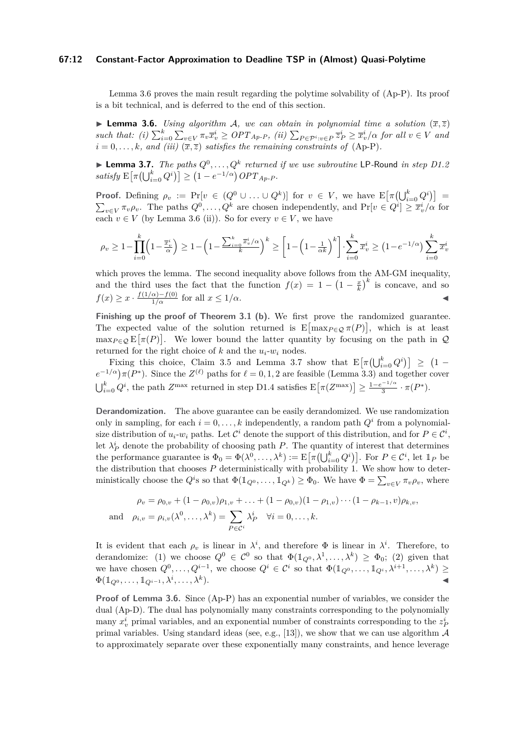## **67:12 Constant-Factor Approximation to Deadline TSP in (Almost) Quasi-Polytime**

Lemma [3.6](#page-11-0) proves the main result regarding the polytime solvability of [\(Ap-P\)](#page-9-1). Its proof is a bit technical, and is deferred to the end of this section.

<span id="page-11-0"></span>**• Lemma 3.6.** *Using algorithm A, we can obtain in polynomial time a solution*  $(\bar{x}, \bar{z})$ such that: (i)  $\sum_{i=0}^{k} \sum_{v \in V} \pi_v \overline{x}_v^i \geq OPT_{Ap-P}$  $\sum_{i=0}^{k} \sum_{v \in V} \pi_v \overline{x}_v^i \geq OPT_{Ap-P}$  $\sum_{i=0}^{k} \sum_{v \in V} \pi_v \overline{x}_v^i \geq OPT_{Ap-P}$ , (ii)  $\sum_{P \in \mathcal{P}^i : v \in P} \overline{z}_P^i \geq \overline{x}_v^i/\alpha$  for all  $v \in V$  and  $i = 0, \ldots, k$ *, and (iii)*  $(\overline{x}, \overline{z})$  *satisfies the remaining constraints of* [\(Ap-P\)](#page-9-1).

<span id="page-11-1"></span>**• Lemma 3.7.** *The paths*  $Q^0, \ldots, Q^k$  *returned if we use subroutine* LP-Round *in step D1.2*  $satisfy$   $\mathbb{E}[\pi(\bigcup_{i=0}^{k} Q^{i})] \geq (1 - e^{-1/\alpha}) OPT_{Ap-P}$  $\mathbb{E}[\pi(\bigcup_{i=0}^{k} Q^{i})] \geq (1 - e^{-1/\alpha}) OPT_{Ap-P}$  $\mathbb{E}[\pi(\bigcup_{i=0}^{k} Q^{i})] \geq (1 - e^{-1/\alpha}) OPT_{Ap-P}$ *.* 

**Proof.** Defining  $\rho_v := \Pr[v \in (Q^0 \cup ... \cup Q^k)]$  for  $v \in V$ , we have  $\mathbb{E}[\pi(\bigcup_{i=0}^k Q^i)] =$  $\sum_{v \in V} \pi_v \rho_v$ . The paths  $Q^0, \ldots, Q^k$  are chosen independently, and  $\Pr[v \in Q^i] \geq \overline{x}_v^i/\alpha$  for each  $v \in V$  (by Lemma [3.6](#page-11-0) (ii)). So for every  $v \in V$ , we have

$$
\rho_v \ge 1 - \prod_{i=0}^k \left(1 - \frac{\overline{x}_v^i}{\alpha}\right) \ge 1 - \left(1 - \frac{\sum_{i=0}^k \overline{x}_v^i / \alpha}{k}\right)^k \ge \left[1 - \left(1 - \frac{1}{\alpha k}\right)^k\right] \cdot \sum_{i=0}^k \overline{x}_v^i \ge \left(1 - e^{-1/\alpha}\right) \sum_{i=0}^k \overline{x}_v^i
$$

which proves the lemma. The second inequality above follows from the AM-GM inequality, and the third uses the fact that the function  $f(x) = 1 - \left(1 - \frac{x}{k}\right)^k$  is concave, and so  $f(x) \geq x \cdot \frac{f(1/\alpha) - f(0)}{1/\alpha}$  for all  $x \leq 1/\alpha$ .

Finishing up the proof of Theorem [3.1](#page-6-0) (b). We first prove the randomized guarantee. The expected value of the solution returned is  $E[\max_{P \in \mathcal{Q}} \pi(P)]$ , which is at least  $\max_{P \in \mathcal{Q}} \mathbb{E}[\pi(P)]$ . We lower bound the latter quantity by focusing on the path in  $\mathcal{Q}$ returned for the right choice of  $k$  and the  $u_i$ - $w_i$  nodes.

Fixing this choice, Claim [3.5](#page-10-1) and Lemma [3.7](#page-11-1) show that  $E\left[\pi\left(\bigcup_{i=0}^{k} Q^{i}\right)\right] \geq (1 - \frac{1}{2})$  $e^{-1/\alpha}$ )  $\pi(P^*)$ . Since the  $Z^{(\ell)}$  paths for  $\ell = 0, 1, 2$  are feasible (Lemma [3.3\)](#page-9-0) and together cover  $\bigcup_{i=0}^{k} Q^{i}$ , the path *Z*<sup>max</sup> returned in step D1.4 satisfies  $\mathbb{E}[\pi(Z^{\max})] \geq \frac{1-e^{-1/\alpha}}{3}$  $\frac{1}{3}^{-1/\alpha} \cdot \pi(P^*).$ 

**Derandomization.** The above guarantee can be easily derandomized. We use randomization only in sampling, for each  $i = 0, \ldots, k$  independently, a random path  $Q<sup>i</sup>$  from a polynomialsize distribution of  $u_i$ - $w_i$  paths. Let  $\mathcal{C}^i$  denote the support of this distribution, and for  $P \in \mathcal{C}^i$ , let  $\lambda_P^i$  denote the probability of choosing path *P*. The quantity of interest that determines the performance guarantee is  $\Phi_0 = \Phi(\lambda^0, \dots, \lambda^k) := \mathbb{E}[\pi(\bigcup_{i=0}^k Q^i)]$ . For  $P \in \mathcal{C}^i$ , let  $\mathbb{1}_P$  be the distribution that chooses *P* deterministically with probability 1. We show how to deterministically choose the  $Q^i$ s so that  $\Phi(\mathbb{1}_{Q^0}, \ldots, \mathbb{1}_{Q^k}) \ge \Phi_0$ . We have  $\Phi = \sum_{v \in V} \pi_v \rho_v$ , where

$$
\rho_v = \rho_{0,v} + (1 - \rho_{0,v})\rho_{1,v} + \ldots + (1 - \rho_{0,v})(1 - \rho_{1,v})\cdots(1 - \rho_{k-1},v)\rho_{k,v},
$$
  
and 
$$
\rho_{i,v} = \rho_{i,v}(\lambda^0, \ldots, \lambda^k) = \sum_{P \in \mathcal{C}^i} \lambda_P^i \quad \forall i = 0, \ldots, k.
$$

It is evident that each  $\rho_v$  is linear in  $\lambda^i$ , and therefore  $\Phi$  is linear in  $\lambda^i$ . Therefore, to derandomize: (1) we choose  $Q^0 \in C^0$  so that  $\Phi(\mathbb{1}_{Q^0}, \lambda^1, \ldots, \lambda^k) \geq \Phi_0$ ; (2) given that we have chosen  $Q^0, \ldots, Q^{i-1}$ , we choose  $Q^i \in \mathcal{C}^i$  so that  $\Phi(\mathbb{1}_{Q^0}, \ldots, \mathbb{1}_{Q^i}, \lambda^{i+1}, \ldots, \lambda^k) \geq$  $\Phi(\mathbb{1}_{Q^0}, \ldots, \mathbb{1}_{Q^{i-1}}, \lambda^i, \ldots, \lambda^k)$ ). ◀

**Proof of Lemma [3.6.](#page-11-0)** Since [\(Ap-P\)](#page-9-1) has an exponential number of variables, we consider the dual (Ap-D). The dual has polynomially many constraints corresponding to the polynomially many  $x_v^i$  primal variables, and an exponential number of constraints corresponding to the  $z_P^i$ primal variables. Using standard ideas (see, e.g., [\[13\]](#page-19-4)), we show that we can use algorithm  $\mathcal A$ to approximately separate over these exponentially many constraints, and hence leverage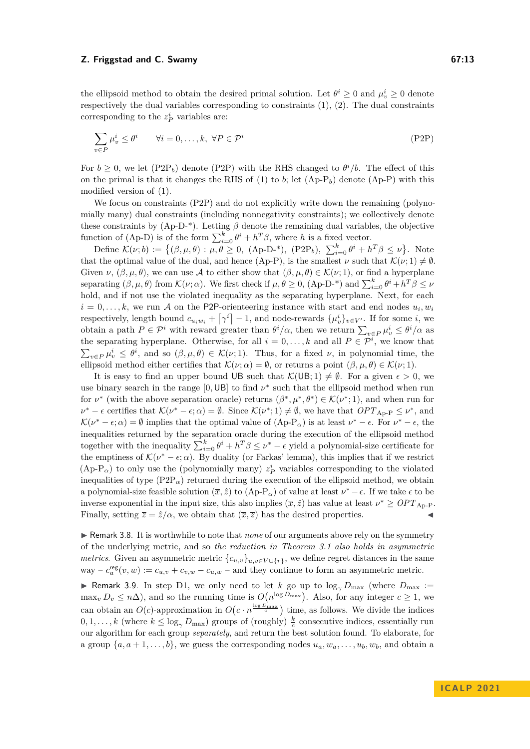the ellipsoid method to obtain the desired primal solution. Let  $\theta^i \geq 0$  and  $\mu_v^i \geq 0$  denote respectively the dual variables corresponding to constraints [\(1\)](#page-9-2), [\(2\)](#page-9-3). The dual constraints corresponding to the  $z_P^i$  variables are:

<span id="page-12-1"></span>
$$
\sum_{v \in P} \mu_v^i \le \theta^i \qquad \forall i = 0, \dots, k, \ \forall P \in \mathcal{P}^i
$$
\n
$$
(P2P)
$$

For  $b \geq 0$ , we let  $(\text{P2P}_b)$  denote  $(\text{P2P})$  with the RHS changed to  $\theta^i/b$ . The effect of this on the primal is that it changes the RHS of [\(1\)](#page-9-2) to *b*; let  $(Ap-P_b)$  $(Ap-P_b)$  denote  $(Ap-P)$  with this modified version of [\(1\)](#page-9-2).

We focus on constraints [\(P2P\)](#page-12-1) and do not explicitly write down the remaining (polynomially many) dual constraints (including nonnegativity constraints); we collectively denote these constraints by  $(Ap-D^{-*})$ . Letting  $\beta$  denote the remaining dual variables, the objective function of (Ap-D) is of the form  $\sum_{i=0}^{k} \theta^{i} + h^{T} \beta$ , where *h* is a fixed vector.

Define  $\mathcal{K}(\nu;b) := \{(\beta,\mu,\theta): \mu,\theta \geq 0, \text{ (Ap-D-*)}, \text{ (P2P}_b), \sum_{i=0}^k \theta^i + h^T \beta \leq \nu\}.$  $\mathcal{K}(\nu;b) := \{(\beta,\mu,\theta): \mu,\theta \geq 0, \text{ (Ap-D-*)}, \text{ (P2P}_b), \sum_{i=0}^k \theta^i + h^T \beta \leq \nu\}.$  $\mathcal{K}(\nu;b) := \{(\beta,\mu,\theta): \mu,\theta \geq 0, \text{ (Ap-D-*)}, \text{ (P2P}_b), \sum_{i=0}^k \theta^i + h^T \beta \leq \nu\}.$  Note that the optimal value of the dual, and hence [\(Ap-P\)](#page-9-1), is the smallest  $\nu$  such that  $\mathcal{K}(\nu; 1) \neq \emptyset$ . Given  $\nu$ ,  $(\beta, \mu, \theta)$ , we can use A to either show that  $(\beta, \mu, \theta) \in \mathcal{K}(\nu; 1)$ , or find a hyperplane separating  $(\beta, \mu, \theta)$  from  $\mathcal{K}(\nu; \alpha)$ . We first check if  $\mu, \theta \ge 0$ ,  $(\text{Ap-D-*)}$  and  $\sum_{i=0}^{k} \theta^{i} + h^{T} \beta \le \nu$ hold, and if not use the violated inequality as the separating hyperplane. Next, for each  $i = 0, \ldots, k$ , we run A on the P2P-orienteering instance with start and end nodes  $u_i, w_i$ respectively, length bound  $c_{u_iw_i} + \lceil \gamma^i \rceil - 1$ , and node-rewards  $\{\mu_v^i\}_{v \in V'}$ . If for some *i*, we obtain a path  $P \in \mathcal{P}^i$  with reward greater than  $\theta^i/\alpha$ , then we return  $\sum_{v \in P} \mu_v^i \leq \theta^i/\alpha$  as the separating hyperplane. Otherwise, for all  $i = 0, \ldots, k$  and all  $P \in \mathcal{P}^i$ , we know that  $\sum_{v \in P} \mu_v^i \leq \theta^i$ , and so  $(\beta, \mu, \theta) \in \mathcal{K}(\nu; 1)$ . Thus, for a fixed  $\nu$ , in polynomial time, the ellipsoid method either certifies that  $\mathcal{K}(\nu;\alpha) = \emptyset$ , or returns a point  $(\beta, \mu, \theta) \in \mathcal{K}(\nu; 1)$ .

It is easy to find an upper bound UB such that  $\mathcal{K}(UB; 1) \neq \emptyset$ . For a given  $\epsilon > 0$ , we use binary search in the range  $[0, \text{UB}]$  to find  $\nu^*$  such that the ellipsoid method when run for  $\nu^*$  (with the above separation oracle) returns  $(\beta^*, \mu^*, \theta^*) \in \mathcal{K}(\nu^*; 1)$ , and when run for  $\nu^* - \epsilon$  certifies that  $\mathcal{K}(\nu^* - \epsilon; \alpha) = \emptyset$ . Since  $\mathcal{K}(\nu^*; 1) \neq \emptyset$ , we have that  $OPT_{\text{Ap-P}} \leq \nu^*$  $OPT_{\text{Ap-P}} \leq \nu^*$  $OPT_{\text{Ap-P}} \leq \nu^*$ , and  $\mathcal{K}(\nu^* - \epsilon; \alpha) = \emptyset$  implies that the optimal value of  $(\text{Ap-P}_{\alpha})$  is at least  $\nu^* - \epsilon$ . For  $\nu^* - \epsilon$ , the inequalities returned by the separation oracle during the execution of the ellipsoid method together with the inequality  $\sum_{i=0}^{k} \theta^i + h^T \beta \leq \nu^* - \epsilon$  yield a polynomial-size certificate for the emptiness of  $\mathcal{K}(\nu^* - \epsilon; \alpha)$ . By duality (or Farkas' lemma), this implies that if we restrict [\(Ap-P](#page-9-1)<sub> $\alpha$ </sub>) to only use the (polynomially many)  $z_P^i$  variables corresponding to the violated inequalities of type  $(\text{P2P}_{\alpha})$  returned during the execution of the ellipsoid method, we obtain a polynomial-size feasible solution  $(\bar{x}, \hat{z})$  to  $(Ap-P_\alpha)$  $(Ap-P_\alpha)$  of value at least  $\nu^* - \epsilon$ . If we take  $\epsilon$  to be inverse exponential in the input size, this also implies  $(\bar{x}, \hat{z})$  has value at least  $\nu^* \geq OPT_{\text{Ap-P}}$  $\nu^* \geq OPT_{\text{Ap-P}}$  $\nu^* \geq OPT_{\text{Ap-P}}$ . Finally, setting  $\overline{z} = \hat{z}/\alpha$ , we obtain that  $(\overline{x}, \overline{z})$  has the desired properties.

<span id="page-12-0"></span>▶ Remark 3.8. It is worthwhile to note that *none* of our arguments above rely on the symmetry of the underlying metric, and so *the reduction in Theorem [3.1](#page-6-0) also holds in asymmetric metrics*. Given an asymmetric metric  ${c_{u,v}}_{u,v \in V \cup \{r\}}$ , we define regret distances in the same way –  $c_u^{\text{reg}}(v, w) := c_{u,v} + c_{v,w} - c_{u,w}$  – and they continue to form an asymmetric metric.

**▶ Remark 3.9.** In step D1, we only need to let *k* go up to  $\log_{\gamma} D_{\text{max}}$  (where  $D_{\text{max}}$  :=  $\max_v D_v \leq n\Delta$ ), and so the running time is  $O(n^{\log D_{\max}})$ . Also, for any integer  $c \geq 1$ , we can obtain an  $O(c)$ -approximation in  $O(c \cdot n^{\frac{\log D_{\max}}{c}})$  time, as follows. We divide the indices  $0, 1, \ldots, k$  (where  $k \leq \log_{\gamma} D_{\text{max}}$ ) groups of (roughly)  $\frac{k}{c}$  consecutive indices, essentially run our algorithm for each group *separately*, and return the best solution found. To elaborate, for a group  $\{a, a+1, \ldots, b\}$ , we guess the corresponding nodes  $u_a, w_a, \ldots, u_b, w_b$ , and obtain a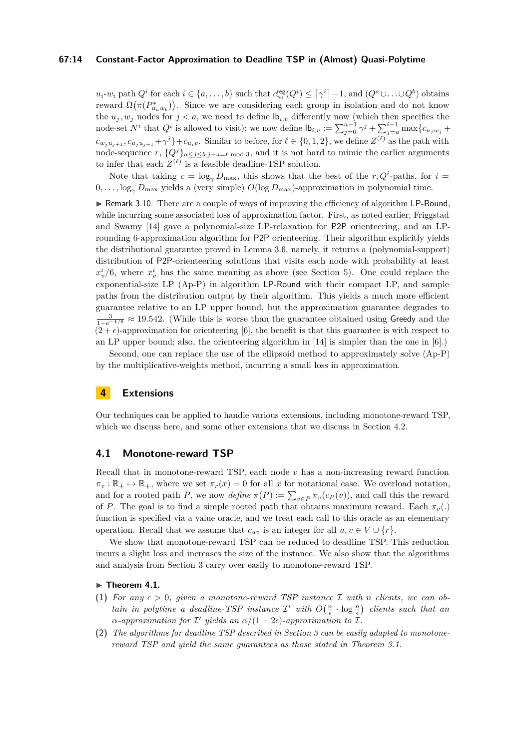## **67:14 Constant-Factor Approximation to Deadline TSP in (Almost) Quasi-Polytime**

 $u_i-w_i$  path  $Q^i$  for each  $i \in \{a,\ldots,b\}$  such that  $c_{u_i}^{\text{reg}}(Q^i) \leq \lceil \gamma^i \rceil - 1$ , and  $(Q^a \cup \ldots \cup Q^b)$  obtains *π*eward  $\Omega(\pi(P_{u_a w_b}^*))$ . Since we are considering each group in isolation and do not know the  $u_j, w_j$  nodes for  $j < a$ , we need to define  $\mathbf{b}_{i,v}$  differently now (which then specifies the node-set  $N^i$  that  $Q^i$  is allowed to visit); we now define  $\mathsf{lb}_{i,v} := \sum_{j=0}^{a-1} \gamma^j + \sum_{j=a}^{i-1} \max\{c_{u_jw_j} + c_{u_jw_j}\}$  $c_{w_ju_{j+1}}, c_{u_ju_{j+1}} + \gamma^j$  +  $c_{u_iv}$ . Similar to before, for  $\ell \in \{0,1,2\}$ , we define  $Z^{(\ell)}$  as the path with node-sequence  $r$ ,  $\{Q^{j}\}_{a\leq j\leq b:j-a=\ell \bmod 3}$ , and it is not hard to mimic the earlier arguments to infer that each  $Z^{(\ell)}$  is a feasible deadline-TSP solution.

Note that taking  $c = \log_{\gamma} D_{\text{max}}$ , this shows that the best of the *r*,  $Q^i$ -paths, for  $i =$ 0*, . . . ,* log*<sup>γ</sup> D*max yields a (very simple) *O*(log *D*max)-approximation in polynomial time.

▶ Remark 3.10. There are a couple of ways of improving the efficiency of algorithm LP-Round, while incurring some associated loss of approximation factor. First, as noted earlier, Friggstad and Swamy [\[14\]](#page-19-9) gave a polynomial-size LP-relaxation for P2P orienteering, and an LProunding 6-approximation algorithm for P2P orienteering. Their algorithm explicitly yields the distributional guarantee proved in Lemma [3.6,](#page-11-0) namely, it returns a (polynomial-support) distribution of P2P-orienteering solutions that visits each node with probability at least  $x_v^i/6$ , where  $x_v^i$  has the same meaning as above (see Section [5\)](#page-18-0). One could replace the exponential-size LP [\(Ap-P\)](#page-9-1) in algorithm LP-Round with their compact LP, and sample paths from the distribution output by their algorithm. This yields a much more efficient guarantee relative to an LP upper bound, but the approximation guarantee degrades to  $\frac{3}{1-e^{-1/6}}$  ≈ 19.542. (While this is worse than the guarantee obtained using Greedy and the  $(2 + \epsilon)$ -approximation for orienteering [\[6\]](#page-19-8), the benefit is that this guarantee is with respect to an LP upper bound; also, the orienteering algorithm in [\[14\]](#page-19-9) is simpler than the one in [\[6\]](#page-19-8).)

Second, one can replace the use of the ellipsoid method to approximately solve [\(Ap-P\)](#page-9-1) by the multiplicative-weights method, incurring a small loss in approximation.

## **4 Extensions**

Our techniques can be applied to handle various extensions, including monotone-reward TSP, which we discuss here, and some other extensions that we discuss in Section [4.2.](#page-17-0)

## <span id="page-13-0"></span>**4.1 Monotone-reward TSP**

Recall that in monotone-reward TSP, each node *v* has a non-increasing reward function  $\pi_v : \mathbb{R}_+ \mapsto \mathbb{R}_+$ , where we set  $\pi_r(x) = 0$  for all *x* for notational ease. We overload notation, and for a rooted path *P*, we now *define*  $\pi(P) := \sum_{v \in P} \pi_v(c_P(v))$ , and call this the reward of *P*. The goal is to find a simple rooted path that obtains maximum reward. Each  $\pi_v(.)$ function is specified via a value oracle, and we treat each call to this oracle as an elementary operation. Recall that we assume that  $c_{uv}$  is an integer for all  $u, v \in V \cup \{r\}$ .

We show that monotone-reward TSP can be reduced to deadline TSP. This reduction incurs a slight loss and increases the size of the instance. We also show that the algorithms and analysis from Section [3](#page-6-1) carry over easily to monotone-reward TSP.

## <span id="page-13-1"></span>▶ **Theorem 4.1.**

- (1) For any  $\epsilon > 0$ , given a monotone-reward TSP instance  $\mathcal I$  with *n* clients, we can ob*tain in polytime a deadline-TSP instance*  $\mathcal{I}'$  with  $O\left(\frac{n}{\epsilon} \cdot \log \frac{n}{\epsilon}\right)$  clients such that an  $\alpha$ -approximation for  $\mathcal{I}'$  yields an  $\alpha/(1-2\epsilon)$ -approximation to  $\mathcal{I}$ .
- **(2)** *The algorithms for deadline TSP described in Section [3](#page-6-1) can be easily adapted to monotonereward TSP and yield the same guarantees as those stated in Theorem [3.1.](#page-6-0)*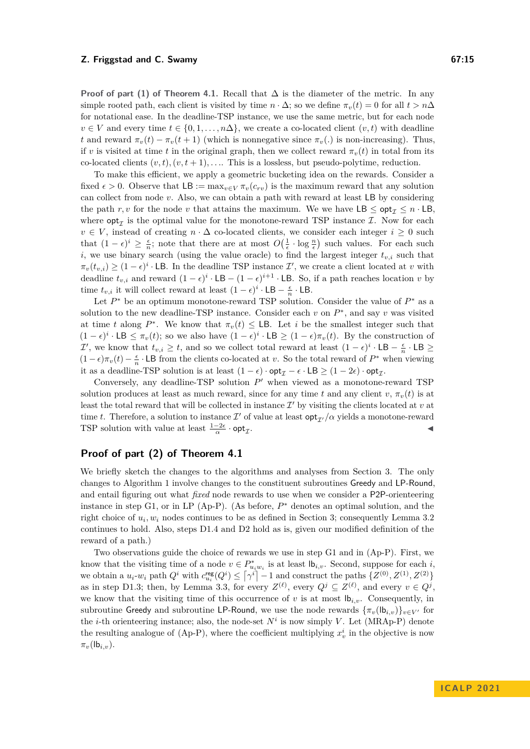**Proof of part (1) of Theorem [4.1.](#page-13-1)** Recall that  $\Delta$  is the diameter of the metric. In any simple rooted path, each client is visited by time  $n \cdot \Delta$ ; so we define  $\pi_v(t) = 0$  for all  $t > n\Delta$ for notational ease. In the deadline-TSP instance, we use the same metric, but for each node  $v \in V$  and every time  $t \in \{0, 1, \ldots, n\Delta\}$ , we create a co-located client  $(v, t)$  with deadline *t* and reward  $\pi_v(t) - \pi_v(t+1)$  (which is nonnegative since  $\pi_v$ )) is non-increasing). Thus, if *v* is visited at time *t* in the original graph, then we collect reward  $\pi_v(t)$  in total from its co-located clients  $(v, t), (v, t + 1), \ldots$ . This is a lossless, but pseudo-polytime, reduction.

To make this efficient, we apply a geometric bucketing idea on the rewards. Consider a fixed  $\epsilon > 0$ . Observe that LB := max<sub>*v*∈*V*</sub>  $\pi_v(c_{rv})$  is the maximum reward that any solution can collect from node *v*. Also, we can obtain a path with reward at least LB by considering the path *r, v* for the node *v* that attains the maximum. We we have  $LB \le opt_7 \le n \cdot LB$ . where  $\mathsf{opt}_{\mathcal{I}}$  is the optimal value for the monotone-reward TSP instance  $\mathcal{I}$ . Now for each  $v \in V$ , instead of creating  $n \cdot \Delta$  co-located clients, we consider each integer  $i \geq 0$  such that  $(1 - \epsilon)^i \geq \frac{\epsilon}{n}$ ; note that there are at most  $O(\frac{1}{\epsilon} \cdot \log \frac{n}{\epsilon})$  such values. For each such *i*, we use binary search (using the value oracle) to find the largest integer  $t_{v,i}$  such that  $\pi_v(t_{v,i}) \geq (1-\epsilon)^i \cdot$  LB. In the deadline TSP instance  $\mathcal{I}'$ , we create a client located at *v* with deadline  $t_{v,i}$  and reward  $(1 - \epsilon)^i \cdot LB - (1 - \epsilon)^{i+1} \cdot LB$ . So, if a path reaches location *v* by time  $t_{v,i}$  it will collect reward at least  $(1 - \epsilon)^i \cdot \textsf{LB} - \frac{\epsilon}{n} \cdot \textsf{LB}$ .

Let  $P^*$  be an optimum monotone-reward TSP solution. Consider the value of  $P^*$  as a solution to the new deadline-TSP instance. Consider each  $v$  on  $P^*$ , and say  $v$  was visited at time *t* along  $P^*$ . We know that  $\pi_v(t) \leq \textsf{LB}$ . Let *i* be the smallest integer such that  $(1 - \epsilon)^i$  ⋅ LB  $\leq \pi_v(t)$ ; so we also have  $(1 - \epsilon)^i$  ⋅ LB  $\geq (1 - \epsilon)\pi_v(t)$ . By the construction of  $\mathcal{I}'$ , we know that  $t_{v,i} \geq t$ , and so we collect total reward at least  $(1 - \epsilon)^i \cdot \textsf{LB} - \frac{\epsilon}{n} \cdot \textsf{LB} \geq 0$  $(1 - \epsilon)\pi_v(t) - \frac{\epsilon}{n} \cdot \textsf{LB}$  from the clients co-located at *v*. So the total reward of  $P^*$  when viewing it as a deadline-TSP solution is at least  $(1 - \epsilon) \cdot \mathsf{opt}_{\mathcal{I}} - \epsilon \cdot \mathsf{LB} \geq (1 - 2\epsilon) \cdot \mathsf{opt}_{\mathcal{I}}.$ 

Conversely, any deadline-TSP solution  $P'$  when viewed as a monotone-reward TSP solution produces at least as much reward, since for any time *t* and any client *v*,  $\pi_v(t)$  is at least the total reward that will be collected in instance  $\mathcal{I}'$  by visiting the clients located at  $v$  at time *t*. Therefore, a solution to instance  $\mathcal{I}'$  of value at least  $\mathsf{opt}_{\mathcal{I}'}/\alpha$  yields a monotone-reward TSP solution with value at least  $\frac{1-2\epsilon}{\alpha} \cdot \mathsf{opt}_{\mathcal{I}}$ . ◀

# **Proof of part (2) of Theorem [4.1](#page-13-1)**

We briefly sketch the changes to the algorithms and analyses from Section [3.](#page-6-1) The only changes to Algorithm [1](#page-8-0) involve changes to the constituent subroutines Greedy and LP-Round, and entail figuring out what *fixed* node rewards to use when we consider a P2P-orienteering instance in step G1, or in LP [\(Ap-P\)](#page-9-1). (As before,  $P^*$  denotes an optimal solution, and the right choice of  $u_i, w_i$  nodes continues to be as defined in Section [3;](#page-6-1) consequently Lemma [3.2](#page-7-0) continues to hold. Also, steps D1.4 and D2 hold as is, given our modified definition of the reward of a path.)

Two observations guide the choice of rewards we use in step G1 and in [\(Ap-P\)](#page-9-1). First, we know that the visiting time of a node  $v \in P^*_{u_i w_i}$  is at least  $\mathsf{lb}_{i,v}$ . Second, suppose for each *i*, we obtain a  $u_i$ - $w_i$  path  $Q^i$  with  $c_{u_i}^{\text{reg}}(Q^i) \leq \lceil \gamma^i \rceil - 1$  and construct the paths  $\{Z^{(0)}, Z^{(1)}, Z^{(2)}\}$ as in step D1.3; then, by Lemma [3.3,](#page-9-0) for every  $Z^{(\ell)}$ , every  $Q^j \subseteq Z^{(\ell)}$ , and every  $v \in Q^j$ , we know that the visiting time of this occurrence of *v* is at most  $\mathsf{lb}_{i,v}$ . Consequently, in subroutine Greedy and subroutine LP-Round, we use the node rewards  $\{\pi_v(\mathsf{lb}_{i,v})\}_{v\in V}$  for the *i*-th orienteering instance; also, the node-set  $N^i$  is now simply *V*. Let (MRAp-P) denote the resulting analogue of  $(Ap-P)$ , where the coefficient multiplying  $x_v^i$  in the objective is now  $\pi_v(\mathsf{lb}_{i,v})$ .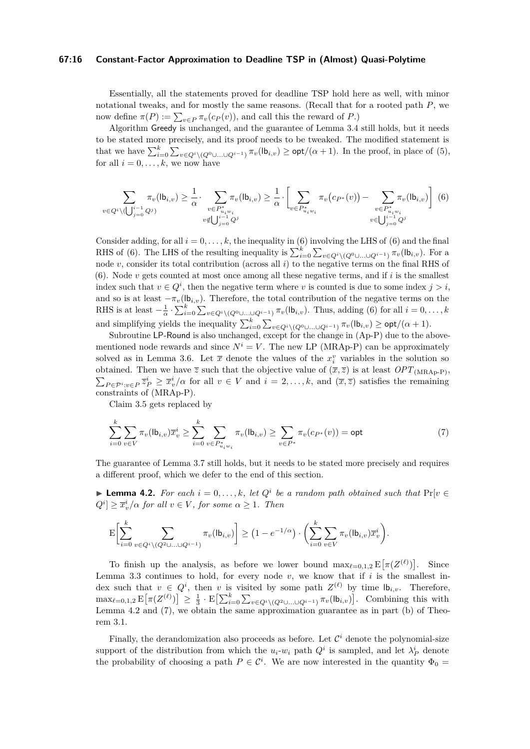## **67:16 Constant-Factor Approximation to Deadline TSP in (Almost) Quasi-Polytime**

Essentially, all the statements proved for deadline TSP hold here as well, with minor notational tweaks, and for mostly the same reasons. (Recall that for a rooted path *P*, we now define  $\pi(P) := \sum_{v \in P} \pi_v(c_P(v))$ , and call this the reward of *P*.)

Algorithm Greedy is unchanged, and the guarantee of Lemma [3.4](#page-10-0) still holds, but it needs to be stated more precisely, and its proof needs to be tweaked. The modified statement is that we have  $\sum_{i=0}^{k} \sum_{v \in Q^i \setminus (Q^0 \cup ... \cup Q^{i-1})} \pi_v(\mathsf{lb}_{i,v}) \geq \mathsf{opt}/(\alpha+1)$ . In the proof, in place of [\(5\)](#page-10-2), for all  $i = 0, \ldots, k$ , we now have

<span id="page-15-0"></span>
$$
\sum_{v \in Q^i \setminus (\bigcup_{j=0}^{i-1} Q^j)} \pi_v(\mathsf{lb}_{i,v}) \ge \frac{1}{\alpha} \cdot \sum_{\substack{v \in P^*_{u_i w_i} \\ v \notin \bigcup_{j=0}^{i-1} Q^j}} \pi_v(\mathsf{lb}_{i,v}) \ge \frac{1}{\alpha} \cdot \left[ \sum_{v \in P^*_{u_i w_i}} \pi_v(c_{P^*}(v)) - \sum_{\substack{v \in P^*_{u_i w_i} \\ v \in \bigcup_{j=0}^{i-1} Q^j}} \pi_v(\mathsf{lb}_{i,v}) \right] \tag{6}
$$

Consider adding, for all  $i = 0, \ldots, k$ , the inequality in [\(6\)](#page-15-0) involving the LHS of (6) and the final RHS of [\(6\)](#page-15-0). The LHS of the resulting inequality is  $\sum_{i=0}^{k} \sum_{v \in Q^i \setminus (Q^0 \cup ... \cup Q^{i-1})} \pi_v(\mathsf{lb}_{i,v})$ . For a node *v*, consider its total contribution (across all *i*) to the negative terms on the final RHS of [\(6\)](#page-15-0). Node *v* gets counted at most once among all these negative terms, and if *i* is the smallest index such that  $v \in Q^i$ , then the negative term where *v* is counted is due to some index  $j > i$ , and so is at least  $-\pi_v(\mathbf{b}_{i,v})$ . Therefore, the total contribution of the negative terms on the RHS is at least  $-\frac{1}{\alpha} \cdot \sum_{i=0}^{k} \sum_{v \in Q^i \setminus (Q^0 \cup ... \cup Q^{i-1})} \pi_v(\mathsf{lb}_{i,v})$ . Thus, adding [\(6\)](#page-15-0) for all  $i = 0, \ldots, k$ and simplifying yields the inequality  $\sum_{i=0}^{k} \sum_{v \in Q^i \setminus (Q^0 \cup ... \cup Q^{i-1})} \pi_v(\mathsf{lb}_{i,v}) \geq \mathsf{opt}/(\alpha+1)$ .

Subroutine LP-Round is also unchanged, except for the change in  $(Ap-P)$  due to the abovementioned node rewards and since  $N^i = V$ . The new LP (MRAp-P) can be approximately solved as in Lemma [3.6.](#page-11-0) Let  $\bar{x}$  denote the values of the  $x_i^v$  variables in the solution so obtained. Then we have  $\overline{z}$  such that the objective value of  $(\overline{x}, \overline{z})$  is at least *OPT*<sub>(MRAp-P)</sub>,  $\sum_{P \in \mathcal{P}^i : v \in P} \overline{z}_P^i \geq \overline{x}_v^i/\alpha$  for all  $v \in V$  and  $i = 2, \ldots, k$ , and  $(\overline{x}, \overline{z})$  satisfies the remaining constraints of (MRAp-P).

<span id="page-15-2"></span>Claim [3.5](#page-10-1) gets replaced by

$$
\sum_{i=0}^{k} \sum_{v \in V} \pi_v(\mathsf{lb}_{i,v}) \overline{x}_v^i \ge \sum_{i=0}^{k} \sum_{v \in P_{u_iw_i}^*} \pi_v(\mathsf{lb}_{i,v}) \ge \sum_{v \in P^*} \pi_v(c_{P^*}(v)) = \mathsf{opt} \tag{7}
$$

The guarantee of Lemma [3.7](#page-11-1) still holds, but it needs to be stated more precisely and requires a different proof, which we defer to the end of this section.

<span id="page-15-1"></span>▶ **Lemma 4.2.** *For each*  $i = 0, \ldots, k$ *, let*  $Q^i$  *be a random path obtained such that*  $Pr[v \in \mathbb{R}]$  $Q^{i}$   $\geq \overline{x}_{v}^{i}/\alpha$  *for all*  $v \in V$ *, for some*  $\alpha \geq 1$ *. Then* 

$$
\mathbf{E}\biggl[\sum_{i=0}^k\sum_{v\in Q^i\setminus(Q^2\cup\ldots\cup Q^{i-1})}\pi_v(\mathsf{lb}_{i,v})\biggr] \geq \big(1-e^{-1/\alpha}\big)\cdot\bigg(\sum_{i=0}^k\sum_{v\in V}\pi_v(\mathsf{lb}_{i,v})\overline{x}_v^i\bigg).
$$

To finish up the analysis, as before we lower bound  $\max_{\ell=0,1,2} E[\pi(Z^{(\ell)})]$ . Since Lemma [3.3](#page-9-0) continues to hold, for every node  $v$ , we know that if  $i$  is the smallest index such that  $v \in Q^i$ , then *v* is visited by some path  $Z^{(\ell)}$  by time  $\mathsf{lb}_{i,v}$ . Therefore,  $\max_{\ell=0,1,2} E[\pi(Z^{(\ell)})] \geq \frac{1}{3} \cdot E[\sum_{i=0}^k \sum_{v \in Q^i \setminus (Q^2 \cup \ldots \cup Q^{i-1})} \pi_v(\mathsf{lb}_{i,v})].$  Combining this with Lemma [4.2](#page-15-1) and [\(7\)](#page-15-2), we obtain the same approximation guarantee as in part (b) of Theorem [3.1.](#page-6-0)

Finally, the derandomization also proceeds as before. Let  $\mathcal{C}^i$  denote the polynomial-size support of the distribution from which the  $u_i-w_i$  path  $Q^i$  is sampled, and let  $\lambda_P^i$  denote the probability of choosing a path  $P \in \mathcal{C}^i$ . We are now interested in the quantity  $\Phi_0 =$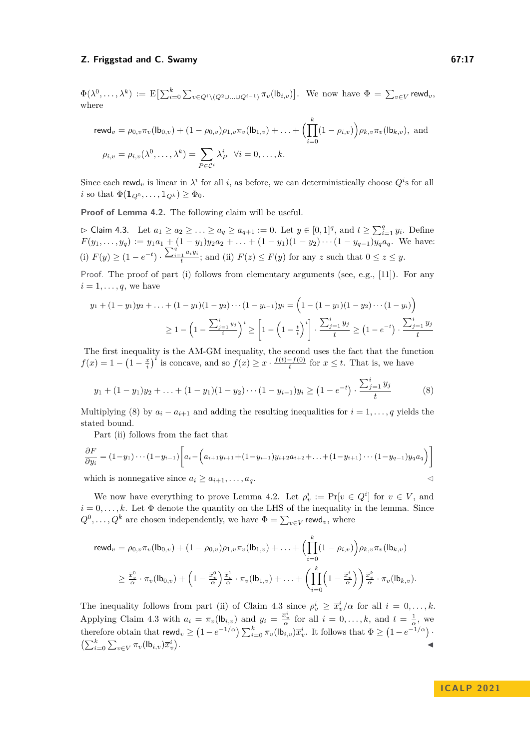$\Phi(\lambda^0,\ldots,\lambda^k) := \mathrm{E}\bigl[\sum_{i=0}^k \sum_{v \in Q^i \setminus (Q^2 \cup \ldots \cup Q^{i-1})} \pi_v(\mathsf{lb}_{i,v})\bigr].$  We now have  $\Phi = \sum_{v \in V} \mathsf{rewd}_v$ , where

$$
\text{rewd}_{v} = \rho_{0,v} \pi_{v}(\text{lb}_{0,v}) + (1 - \rho_{0,v})\rho_{1,v} \pi_{v}(\text{lb}_{1,v}) + \dots + \left(\prod_{i=0}^{k} (1 - \rho_{i,v})\right)\rho_{k,v} \pi_{v}(\text{lb}_{k,v}), \text{ and}
$$

$$
\rho_{i,v} = \rho_{i,v}(\lambda^{0}, \dots, \lambda^{k}) = \sum_{P \in \mathcal{C}^{i}} \lambda_{P}^{i} \quad \forall i = 0, \dots, k.
$$

Since each rewd<sub>v</sub> is linear in  $\lambda^i$  for all *i*, as before, we can deterministically choose  $Q^i$ s for all *i* so that  $\Phi(\mathbb{1}_{Q^0}, \ldots, \mathbb{1}_{Q^k}) \geq \Phi_0$ .

**Proof of Lemma [4.2.](#page-15-1)** The following claim will be useful.

<span id="page-16-1"></span> $\rhd$  Claim 4.3. Let  $a_1 \ge a_2 \ge \ldots \ge a_q \ge a_{q+1} := 0$ . Let  $y \in [0,1]^q$ , and  $t \ge \sum_{i=1}^q y_i$ . Define  $F(y_1, \ldots, y_q) := y_1 a_1 + (1 - y_1)y_2 a_2 + \ldots + (1 - y_1)(1 - y_2) \cdots (1 - y_{q-1})y_q a_q$ . We have: (i)  $F(y) \geq (1 - e^{-t}) \cdot \frac{\sum_{i=1}^{q} a_i y_i}{t}$  $f_t^{\{1, u, y\}}$ ; and (ii)  $F(z) \leq F(y)$  for any *z* such that  $0 \leq z \leq y$ .

Proof. The proof of part (i) follows from elementary arguments (see, e.g., [\[11\]](#page-19-18)). For any  $i = 1, \ldots, q$ , we have

$$
y_1 + (1 - y_1)y_2 + \ldots + (1 - y_1)(1 - y_2)\cdots(1 - y_{i-1})y_i = \left(1 - (1 - y_1)(1 - y_2)\cdots(1 - y_i)\right)
$$
  
\n
$$
\geq 1 - \left(1 - \frac{\sum_{j=1}^i y_j}{i}\right)^i \geq \left[1 - \left(1 - \frac{t}{i}\right)^i\right] \cdot \frac{\sum_{j=1}^i y_j}{t} \geq \left(1 - e^{-t}\right) \cdot \frac{\sum_{j=1}^i y_j}{t}
$$

The first inequality is the AM-GM inequality, the second uses the fact that the function  $f(x) = 1 - \left(1 - \frac{x}{i}\right)^i$  is concave, and so  $f(x) \ge x \cdot \frac{f(t) - f(0)}{t}$  $\frac{-f(0)}{t}$  for  $x \leq t$ . That is, we have

<span id="page-16-0"></span>
$$
y_1 + (1 - y_1)y_2 + \ldots + (1 - y_1)(1 - y_2) \cdots (1 - y_{i-1})y_i \ge (1 - e^{-t}) \cdot \frac{\sum_{j=1}^{i} y_j}{t}
$$
 (8)

Multiplying [\(8\)](#page-16-0) by  $a_i - a_{i+1}$  and adding the resulting inequalities for  $i = 1, \ldots, q$  yields the stated bound.

Part (ii) follows from the fact that

$$
\frac{\partial F}{\partial y_i} = (1 - y_1) \cdots (1 - y_{i-1}) \left[ a_i - \left( a_{i+1} y_{i+1} + (1 - y_{i+1}) y_{i+2} a_{i+2} + \ldots + (1 - y_{i+1}) \cdots (1 - y_{q-1}) y_q a_q \right) \right]
$$
\nwhich is nonnegative since  $a_i \geq a_{i+1}, \ldots, a_q$ .

We now have everything to prove Lemma [4.2.](#page-15-1) Let  $\rho_v^i := \Pr[v \in Q^i]$  for  $v \in V$ , and  $i = 0, \ldots, k$ . Let  $\Phi$  denote the quantity on the LHS of the inequality in the lemma. Since  $Q^0, \ldots, Q^k$  are chosen independently, we have  $\Phi = \sum_{v \in V} \text{rewd}_v$ , where

$$
\mathsf{rewd}_v = \rho_{0,v} \pi_v(\mathsf{lb}_{0,v}) + (1 - \rho_{0,v})\rho_{1,v} \pi_v(\mathsf{lb}_{1,v}) + \ldots + \Biggl(\prod_{i=0}^k (1 - \rho_{i,v})\Biggr) \rho_{k,v} \pi_v(\mathsf{lb}_{k,v})
$$
  

$$
\geq \frac{\overline{x}_v^0}{\alpha} \cdot \pi_v(\mathsf{lb}_{0,v}) + \Biggl(1 - \frac{\overline{x}_v^0}{\alpha}\Biggr) \frac{\overline{x}_v^1}{\alpha} \cdot \pi_v(\mathsf{lb}_{1,v}) + \ldots + \Biggl(\prod_{i=0}^k \Biggl(1 - \frac{\overline{x}_v^i}{\alpha}\Biggr)\Biggr) \frac{\overline{x}_v^k}{\alpha} \cdot \pi_v(\mathsf{lb}_{k,v}).
$$

The inequality follows from part (ii) of Claim [4.3](#page-16-1) since  $\rho_v^i \geq \bar{x}_v^i/\alpha$  for all  $i = 0, \ldots, k$ . Applying Claim [4.3](#page-16-1) with  $a_i = \pi_v(\mathsf{lb}_{i,v})$  and  $y_i = \frac{\overline{x}_v^i}{\alpha}$  for all  $i = 0, \ldots, k$ , and  $t = \frac{1}{\alpha}$ , we therefore obtain that  $\mathsf{rewd}_v \geq \left(1 - e^{-1/\alpha}\right) \sum_{i=0}^k \pi_v(\mathsf{lb}_{i,v}) \overline{x}_v^i$ . It follows that  $\Phi \geq \left(1 - e^{-1/\alpha}\right)$ .  $\left(\sum_{i=0}^k \sum_{v \in V} \pi_v(\mathsf{lb}_{i,v})\overline{x}_v^i\right)$ . ◀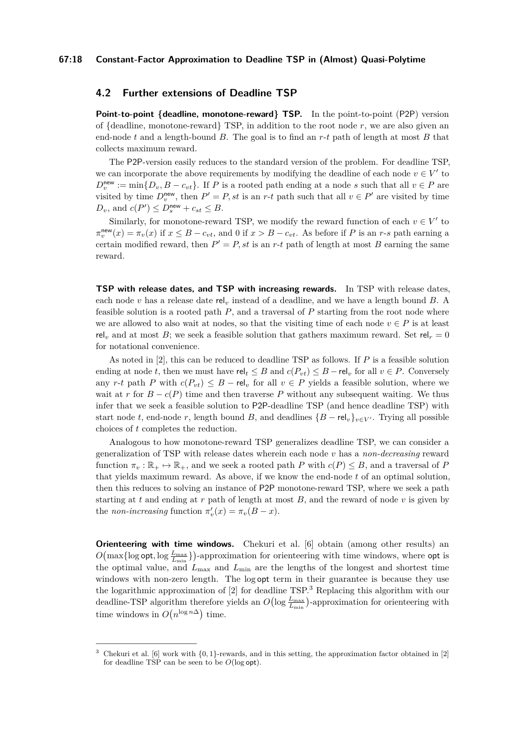## <span id="page-17-0"></span>**4.2 Further extensions of Deadline TSP**

**Point-to-point {deadline, monotone-reward} TSP.** In the point-to-point (P2P) version of {deadline, monotone-reward} TSP, in addition to the root node *r*, we are also given an end-node *t* and a length-bound *B*. The goal is to find an *r*-*t* path of length at most *B* that collects maximum reward.

The P2P-version easily reduces to the standard version of the problem. For deadline TSP, we can incorporate the above requirements by modifying the deadline of each node  $v \in V'$  to  $D_v^{\text{new}} := \min\{D_v, B - c_{vt}\}.$  If *P* is a rooted path ending at a node *s* such that all  $v \in P$  are visited by time  $D_v^{\text{new}}$ , then  $P' = P$ , st is an *r*-*t* path such that all  $v \in P'$  are visited by time  $D_v$ , and  $c(P') \leq D_s^{\text{new}} + c_{st} \leq B$ .

Similarly, for monotone-reward TSP, we modify the reward function of each  $v \in V'$  to  $\pi_v^{\text{new}}(x) = \pi_v(x)$  if  $x \leq B - c_{vt}$ , and 0 if  $x > B - c_{vt}$ . As before if *P* is an *r*-*s* path earning a certain modified reward, then  $P' = P$ , st is an r-t path of length at most *B* earning the same reward.

**TSP with release dates, and TSP with increasing rewards.** In TSP with release dates, each node *v* has a release date rel*<sup>v</sup>* instead of a deadline, and we have a length bound *B*. A feasible solution is a rooted path *P*, and a traversal of *P* starting from the root node where we are allowed to also wait at nodes, so that the visiting time of each node  $v \in P$  is at least rel<sub>v</sub> and at most *B*; we seek a feasible solution that gathers maximum reward. Set rel<sub>r</sub> = 0 for notational convenience.

As noted in [\[2\]](#page-19-0), this can be reduced to deadline TSP as follows. If *P* is a feasible solution ending at node *t*, then we must have  $rel_t \leq B$  and  $c(P_{vt}) \leq B - rel_v$  for all  $v \in P$ . Conversely any *r*-*t* path *P* with  $c(P_{vt}) \leq B - rel_v$  for all  $v \in P$  yields a feasible solution, where we wait at *r* for  $B - c(P)$  time and then traverse *P* without any subsequent waiting. We thus infer that we seek a feasible solution to P2P-deadline TSP (and hence deadline TSP) with start node *t*, end-node *r*, length bound *B*, and deadlines  ${B - rel_v}_{v \in V'}$ . Trying all possible choices of *t* completes the reduction.

Analogous to how monotone-reward TSP generalizes deadline TSP, we can consider a generalization of TSP with release dates wherein each node *v* has a *non-decreasing* reward function  $\pi_v : \mathbb{R}_+ \mapsto \mathbb{R}_+$ , and we seek a rooted path *P* with  $c(P) \leq B$ , and a traversal of *P* that yields maximum reward. As above, if we know the end-node *t* of an optimal solution, then this reduces to solving an instance of P2P monotone-reward TSP, where we seek a path starting at  $t$  and ending at  $r$  path of length at most  $B$ , and the reward of node  $v$  is given by the *non-increasing* function  $\pi'_v(x) = \pi_v(B - x)$ .

**Orienteering with time windows.** Chekuri et al. [\[6\]](#page-19-8) obtain (among other results) an  $O(\max{\log{opt, \log{\frac{L_{\max}}{L_{\min}}}}})$ -approximation for orienteering with time windows, where opt is the optimal value, and  $L_{\text{max}}$  and  $L_{\text{min}}$  are the lengths of the longest and shortest time windows with non-zero length. The log opt term in their guarantee is because they use the logarithmic approximation of [\[2\]](#page-19-0) for deadline TSP.[3](#page-17-1) Replacing this algorithm with our deadline-TSP algorithm therefore yields an  $O(\log \frac{L_{\text{max}}}{L_{\text{min}}})$ -approximation for orienteering with time windows in  $O(n^{\log n\Delta})$  time.

<span id="page-17-1"></span>Chekuri et al.  $[6]$  work with  $\{0,1\}$ -rewards, and in this setting, the approximation factor obtained in [\[2\]](#page-19-0) for deadline TSP can be seen to be *O*(log opt).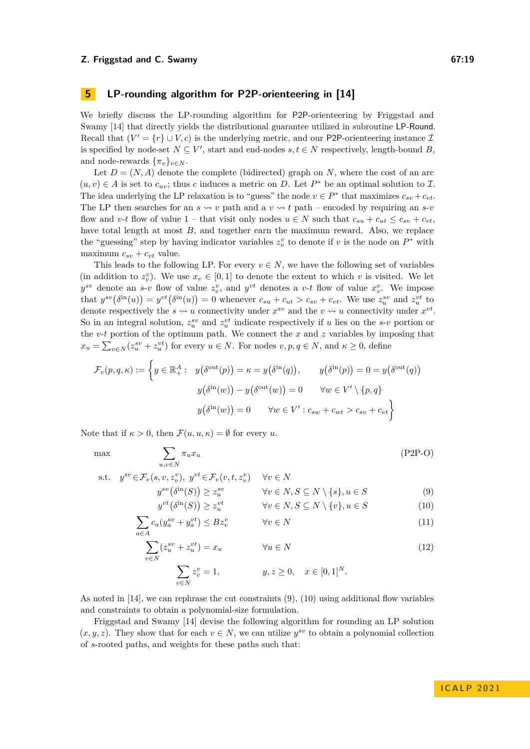# <span id="page-18-0"></span>**5 LP-rounding algorithm for P2P-orienteering in [\[14\]](#page-19-9)**

We briefly discuss the LP-rounding algorithm for P2P-orienteering by Friggstad and Swamy [\[14\]](#page-19-9) that directly yields the distributional guarantee utilized in subroutine LP-Round. Recall that  $(V' = \{r\} \cup V, c)$  is the underlying metric, and our P2P-orienteering instance  $\mathcal{I}$ is specified by node-set  $N \subseteq V'$ , start and end-nodes  $s, t \in N$  respectively, length-bound *B*, and node-rewards  $\{\pi_v\}_{v \in N}$ .

Let  $D = (N, A)$  denote the complete (bidirected) graph on *N*, where the cost of an arc  $(u, v) \in A$  is set to  $c_{uv}$ ; thus *c* induces a metric on *D*. Let  $P^*$  be an optimal solution to *I*. The idea underlying the LP relaxation is to "guess" the node  $v \in P^*$  that maximizes  $c_{sv} + c_{vt}$ . The LP then searches for an  $s \rightsquigarrow v$  path and a  $v \rightsquigarrow t$  path – encoded by requiring an  $s$ -*v* flow and *v*-*t* flow of value 1 – that visit only nodes  $u \in N$  such that  $c_{su} + c_{ut} \leq c_{sv} + c_{vt}$ , have total length at most *B*, and together earn the maximum reward. Also, we replace the "guessing" step by having indicator variables  $z_v^v$  to denote if *v* is the node on  $P^*$  with maximum  $c_{sv} + c_{vt}$  value.

This leads to the following LP. For every  $v \in N$ , we have the following set of variables (in addition to  $z_v^v$ ). We use  $x_v \in [0,1]$  to denote the extent to which *v* is visited. We let  $y^{sv}$  denote an *s*-*v* flow of value  $z_v^v$ , and  $y^{vt}$  denotes a *v*-*t* flow of value  $x_v^v$ . We impose that  $y^{sv}(\delta^{in}(u)) = y^{vt}(\delta^{in}(u)) = 0$  whenever  $c_{su} + c_{ut} > c_{sv} + c_{vt}$ . We use  $z_u^{sv}$  and  $z_u^{vt}$  to denote respectively the  $s \leadsto u$  connectivity under  $x^{sv}$  and the  $v \leadsto u$  connectivity under  $x^{vt}$ . So in an integral solution,  $z_i^{sv}$  and  $z_i^{vt}$  indicate respectively if *u* lies on the *s*-*v* portion or the *v*-*t* portion of the optimum path. We connect the *x* and *z* variables by imposing that  $x_u = \sum_{v \in N} (z_u^{sv} + z_u^{vt})$  for every  $u \in N$ . For nodes  $v, p, q \in N$ , and  $\kappa \ge 0$ , define

$$
\mathcal{F}_v(p,q,\kappa) := \left\{ y \in \mathbb{R}_+^A : \quad y(\delta^{\text{out}}(p)) = \kappa = y(\delta^{\text{in}}(q)), \qquad y(\delta^{\text{in}}(p)) = 0 = y(\delta^{\text{out}}(q)) \right\}
$$

$$
y(\delta^{\text{in}}(w)) - y(\delta^{\text{out}}(w)) = 0 \qquad \forall w \in V' \setminus \{p,q\}
$$

$$
y(\delta^{\text{in}}(w)) = 0 \qquad \forall w \in V' : c_{sw} + c_{wt} > c_{sv} + c_{vt} \right\}
$$

Note that if  $\kappa > 0$ , then  $\mathcal{F}(u, u, \kappa) = \emptyset$  for every *u*.

<span id="page-18-2"></span><span id="page-18-1"></span>*v*∈*N*

$$
\max \sum_{u,v \in N} \pi_u x_u \tag{P2P-O}
$$

s.t. 
$$
y^{sv} \in \mathcal{F}_v(s, v, z_v^v), y^{vt} \in \mathcal{F}_v(v, t, z_v^v) \quad \forall v \in N
$$
  
 $y^{sv}(\delta^{\text{in}}(S)) \ge z_v^{sv} \qquad \forall v \in N, S \subseteq N \setminus \{s\}, u \in S$  (9)

$$
y^{vt}(\delta^{in}(S)) \ge z_u^{vt} \qquad \forall v \in N, S \subseteq N \setminus \{v\}, u \in S
$$
 (10)

$$
y^{vt}(\delta^{\mathbf{m}}(S)) \ge z_u^{vt} \qquad \forall v \in N, S \subseteq N \setminus \{v\}, u \in S
$$
 (10)  

$$
\sum_{v \in \mathcal{V}} \delta^{\mathbf{m}}(v, v, v, v, \delta) \ge z_u^{vt} \qquad \forall v \in N, s \subseteq N \setminus \{v\}, u \in S
$$

$$
\sum_{a \in A} c_a (y_a^{sv} + y_a^{vt}) \le B z_v^v \qquad \forall v \in N
$$
\n(11)

$$
\sum_{v \in N} (z_u^{sv} + z_u^{vt}) = x_u \qquad \forall u \in N
$$
\n
$$
\sum z_v^v = 1, \qquad y, z \ge 0, \quad x \in [0, 1]^N.
$$
\n(12)

As noted in [14], we can rephrase the cut constraints 
$$
(9)
$$
,  $(10)$  using additional flow variables and constraints to obtain a polynomial-size formulation.

Friggstad and Swamy [\[14\]](#page-19-9) devise the following algorithm for rounding an LP solution  $(x, y, z)$ . They show that for each  $v \in N$ , we can utilize  $y^{sv}$  to obtain a polynomial collection of *s*-rooted paths, and weights for these paths such that: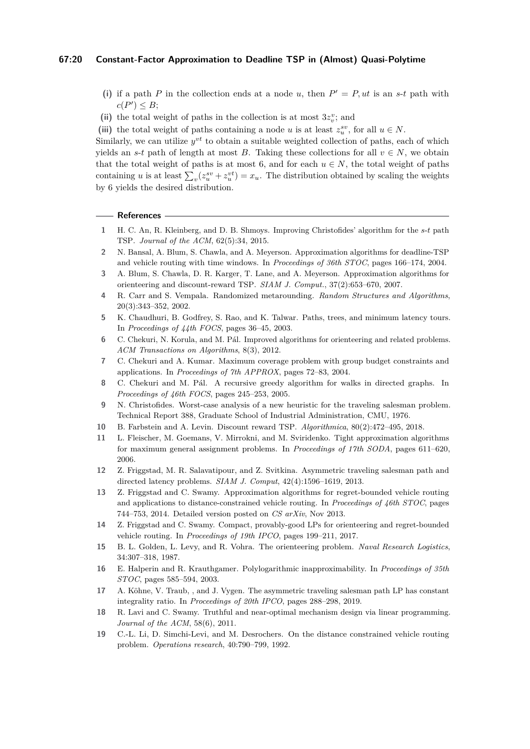## **67:20 Constant-Factor Approximation to Deadline TSP in (Almost) Quasi-Polytime**

- (i) if a path *P* in the collection ends at a node *u*, then  $P' = P$ , *ut* is an *s*-*t* path with  $c(P') \leq B;$
- (ii) the total weight of paths in the collection is at most  $3z_v^v$ ; and
- (iii) the total weight of paths containing a node *u* is at least  $z_i^{sv}$ , for all  $u \in N$ .

Similarly, we can utilize  $y^{vt}$  to obtain a suitable weighted collection of paths, each of which vields an *s*-*t* path of length at most *B*. Taking these collections for all  $v \in N$ , we obtain that the total weight of paths is at most 6, and for each  $u \in N$ , the total weight of paths containing *u* is at least  $\sum_{v} (z_u^{sv} + z_u^{vt}) = x_u$ . The distribution obtained by scaling the weights by 6 yields the desired distribution.

## **References**

- <span id="page-19-10"></span>**1** H. C. An, R. Kleinberg, and D. B. Shmoys. Improving Christofides' algorithm for the *s*-*t* path TSP. *Journal of the ACM*, 62(5):34, 2015.
- <span id="page-19-0"></span>**2** N. Bansal, A. Blum, S. Chawla, and A. Meyerson. Approximation algorithms for deadline-TSP and vehicle routing with time windows. In *Proceedings of 36th STOC*, pages 166–174, 2004.
- <span id="page-19-6"></span>**3** A. Blum, S. Chawla, D. R. Karger, T. Lane, and A. Meyerson. Approximation algorithms for orienteering and discount-reward TSP. *SIAM J. Comput.*, 37(2):653–670, 2007.
- <span id="page-19-16"></span>**4** R. Carr and S. Vempala. Randomized metarounding. *Random Structures and Algorithms*, 20(3):343–352, 2002.
- <span id="page-19-2"></span>**5** K. Chaudhuri, B. Godfrey, S. Rao, and K. Talwar. Paths, trees, and minimum latency tours. In *Proceedings of 44th FOCS*, pages 36–45, 2003.
- <span id="page-19-8"></span>**6** C. Chekuri, N. Korula, and M. Pál. Improved algorithms for orienteering and related problems. *ACM Transactions on Algorithms*, 8(3), 2012.
- <span id="page-19-12"></span>**7** C. Chekuri and A. Kumar. Maximum coverage problem with group budget constraints and applications. In *Proceedings of 7th APPROX*, pages 72–83, 2004.
- <span id="page-19-7"></span>**8** C. Chekuri and M. Pál. A recursive greedy algorithm for walks in directed graphs. In *Proceedings of 46th FOCS*, pages 245–253, 2005.
- <span id="page-19-1"></span>**9** N. Christofides. Worst-case analysis of a new heuristic for the traveling salesman problem. Technical Report 388, Graduate School of Industrial Administration, CMU, 1976.
- <span id="page-19-14"></span>**10** B. Farbstein and A. Levin. Discount reward TSP. *Algorithmica*, 80(2):472–495, 2018.
- <span id="page-19-18"></span>**11** L. Fleischer, M. Goemans, V. Mirrokni, and M. Sviridenko. Tight approximation algorithms for maximum general assignment problems. In *Proceedings of 17th SODA*, pages 611–620, 2006.
- <span id="page-19-13"></span>**12** Z. Friggstad, M. R. Salavatipour, and Z. Svitkina. Asymmetric traveling salesman path and directed latency problems. *SIAM J. Comput*, 42(4):1596–1619, 2013.
- <span id="page-19-4"></span>**13** Z. Friggstad and C. Swamy. Approximation algorithms for regret-bounded vehicle routing and applications to distance-constrained vehicle routing. In *Proceedings of 46th STOC*, pages 744–753, 2014. Detailed version posted on *CS arXiv*, Nov 2013.
- <span id="page-19-9"></span>**14** Z. Friggstad and C. Swamy. Compact, provably-good LPs for orienteering and regret-bounded vehicle routing. In *Proceedings of 19th IPCO*, pages 199–211, 2017.
- <span id="page-19-5"></span>**15** B. L. Golden, L. Levy, and R. Vohra. The orienteering problem. *Naval Research Logistics*, 34:307–318, 1987.
- <span id="page-19-15"></span>**16** E. Halperin and R. Krauthgamer. Polylogarithmic inapproximability. In *Proceedings of 35th STOC*, pages 585–594, 2003.
- <span id="page-19-11"></span>**17** A. Köhne, V. Traub, , and J. Vygen. The asymmetric traveling salesman path LP has constant integrality ratio. In *Proceedings of 20th IPCO*, pages 288–298, 2019.
- <span id="page-19-17"></span>**18** R. Lavi and C. Swamy. Truthful and near-optimal mechanism design via linear programming. *Journal of the ACM*, 58(6), 2011.
- <span id="page-19-3"></span>**19** C.-L. Li, D. Simchi-Levi, and M. Desrochers. On the distance constrained vehicle routing problem. *Operations research*, 40:790–799, 1992.